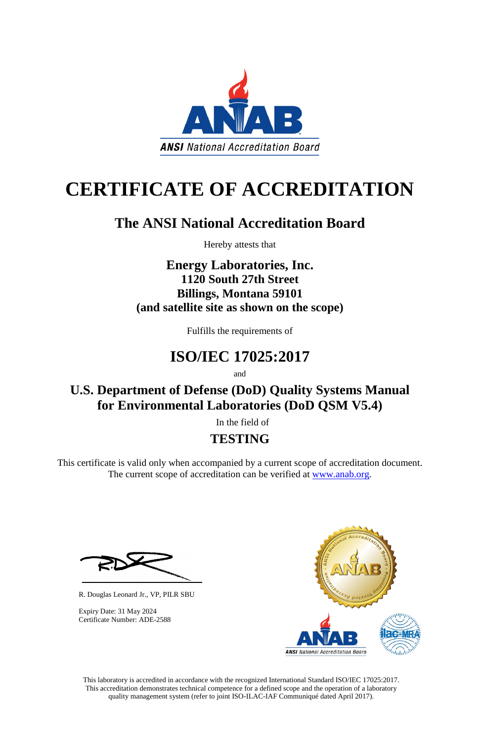This laboratory is accredited in accordance with the recognized International Standard ISO/IEC 17025:2017. This accreditation demonstrates technical competence for a defined scope and the operation of a laboratory quality management system (refer to joint ISO-ILAC-IAF Communiqué dated April 2017).



# **CERTIFICATE OF ACCREDITATION**

This certificate is valid only when accompanied by a current scope of accreditation document. The current scope of accreditation can be verified at [www.anab.org.](http://www.anab.org/)

## **The ANSI National Accreditation Board**





Hereby attests that

**Energy Laboratories, Inc. 1120 South 27th Street Billings, Montana 59101 (and satellite site as shown on the scope)**

Fulfills the requirements of

# **ISO/IEC 17025:2017**

and

**U.S. Department of Defense (DoD) Quality Systems Manual for Environmental Laboratories (DoD QSM V5.4)**

In the field of

### **TESTING**

R. Douglas Leonard Jr., VP, PILR SBU

Expiry Date: 31 May 2024 Certificate Number: ADE-2588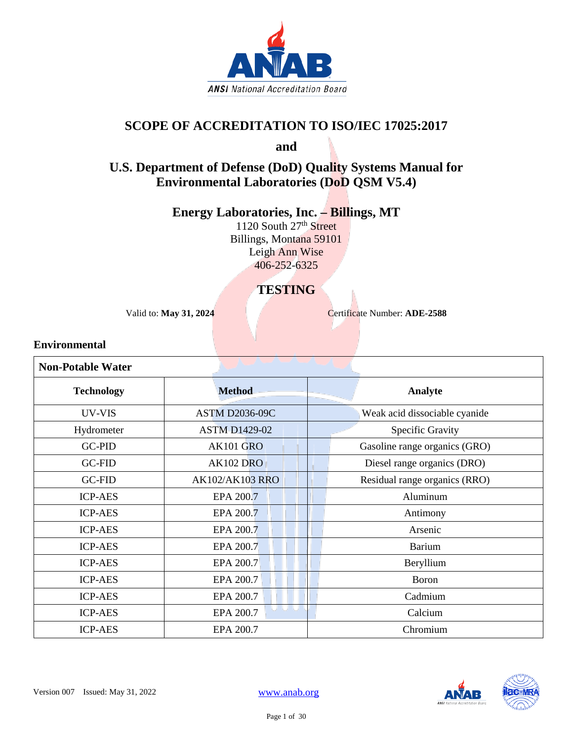

#### **SCOPE OF ACCREDITATION TO ISO/IEC 17025:2017**

**and**

### **U.S. Department of Defense (DoD) Quality Systems Manual for Environmental Laboratories (DoD QSM V5.4)**

**Energy Laboratories, Inc. – Billings, MT**

1120 South 27<sup>th</sup> Street Billings, Montana 59101 Leigh Ann Wise 406-252-6325

### **TESTING**

Valid to: **May 31, 2024** Certificate Number: **ADE-2588** 

#### **Environmental**

| <b>Non-Potable Water</b> |                        |                               |
|--------------------------|------------------------|-------------------------------|
| <b>Technology</b>        | <b>Method</b>          | Analyte                       |
| UV-VIS                   | <b>ASTM D2036-09C</b>  | Weak acid dissociable cyanide |
| Hydrometer               | <b>ASTM D1429-02</b>   | Specific Gravity              |
| <b>GC-PID</b>            | <b>AK101 GRO</b>       | Gasoline range organics (GRO) |
| <b>GC-FID</b>            | <b>AK102 DRO</b>       | Diesel range organics (DRO)   |
| <b>GC-FID</b>            | <b>AK102/AK103 RRO</b> | Residual range organics (RRO) |
| <b>ICP-AES</b>           | EPA 200.7              | Aluminum                      |
| <b>ICP-AES</b>           | EPA 200.7              | Antimony                      |
| <b>ICP-AES</b>           | EPA 200.7              | Arsenic                       |
| <b>ICP-AES</b>           | EPA 200.7              | <b>Barium</b>                 |
| <b>ICP-AES</b>           | EPA 200.7              | Beryllium                     |
| <b>ICP-AES</b>           | EPA 200.7              | <b>Boron</b>                  |
| <b>ICP-AES</b>           | EPA 200.7              | Cadmium                       |
| <b>ICP-AES</b>           | UU U<br>EPA 200.7      | Calcium                       |
| <b>ICP-AES</b>           | EPA 200.7              | Chromium                      |

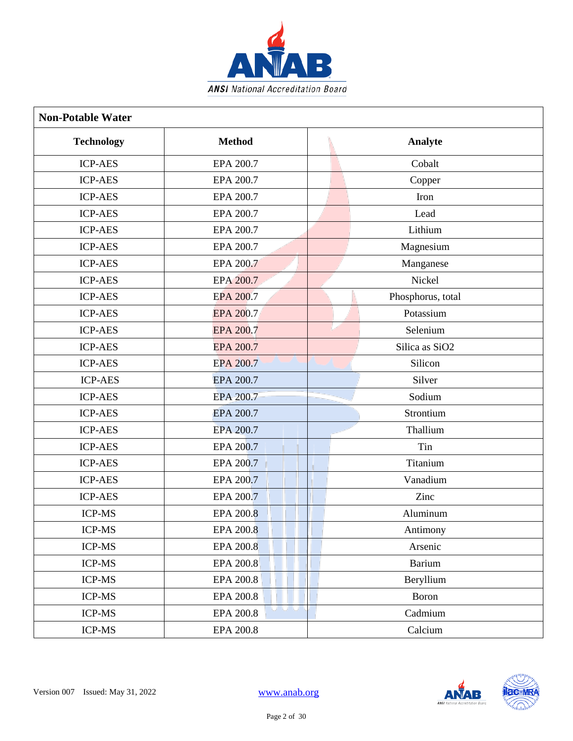

| <b>Non-Potable Water</b> |                               |                            |
|--------------------------|-------------------------------|----------------------------|
| <b>Technology</b>        | <b>Method</b>                 | Analyte                    |
| <b>ICP-AES</b>           | EPA 200.7                     | Cobalt                     |
| <b>ICP-AES</b>           | EPA 200.7                     | Copper                     |
| <b>ICP-AES</b>           | EPA 200.7                     | Iron                       |
| <b>ICP-AES</b>           | EPA 200.7                     | Lead                       |
| <b>ICP-AES</b>           | EPA 200.7                     | Lithium                    |
| <b>ICP-AES</b>           | EPA 200.7                     | Magnesium                  |
| <b>ICP-AES</b>           | EPA 200.7                     | Manganese                  |
| <b>ICP-AES</b>           | EPA 200.7                     | Nickel                     |
| <b>ICP-AES</b>           | <b>EPA 200.7</b>              | Phosphorus, total          |
| <b>ICP-AES</b>           | <b>EPA 200.7</b>              | Potassium                  |
| <b>ICP-AES</b>           | EPA 200.7                     | Selenium                   |
| <b>ICP-AES</b>           | <b>EPA 200.7</b>              | Silica as SiO <sub>2</sub> |
| <b>ICP-AES</b>           | EPA 200.7                     | Silicon                    |
| <b>ICP-AES</b>           | EPA 200.7                     | Silver                     |
| <b>ICP-AES</b>           | EPA 200.7                     | Sodium                     |
| <b>ICP-AES</b>           | EPA 200.7                     | Strontium                  |
| <b>ICP-AES</b>           | EPA 200.7                     | Thallium                   |
| <b>ICP-AES</b>           | EPA 200.7                     | Tin                        |
| <b>ICP-AES</b>           | EPA 200.7                     | Titanium                   |
| <b>ICP-AES</b>           | EPA 200.7                     | Vanadium                   |
| <b>ICP-AES</b>           | EPA 200.7                     | Zinc                       |
| ICP-MS                   | <b>EPA 200.8</b>              | Aluminum                   |
| ICP-MS                   | <b>EPA 200.8</b>              | Antimony                   |
| ICP-MS                   | <b>EPA 200.8</b>              | Arsenic                    |
| ICP-MS                   | EPA 200.8                     | <b>Barium</b>              |
| ICP-MS                   | EPA 200.8                     | Beryllium                  |
| ICP-MS                   | EPA 200.8                     | Boron                      |
| <b>ICP-MS</b>            | نا انا ان<br><b>EPA 200.8</b> | Cadmium                    |
| ICP-MS                   | <b>EPA 200.8</b>              | Calcium                    |

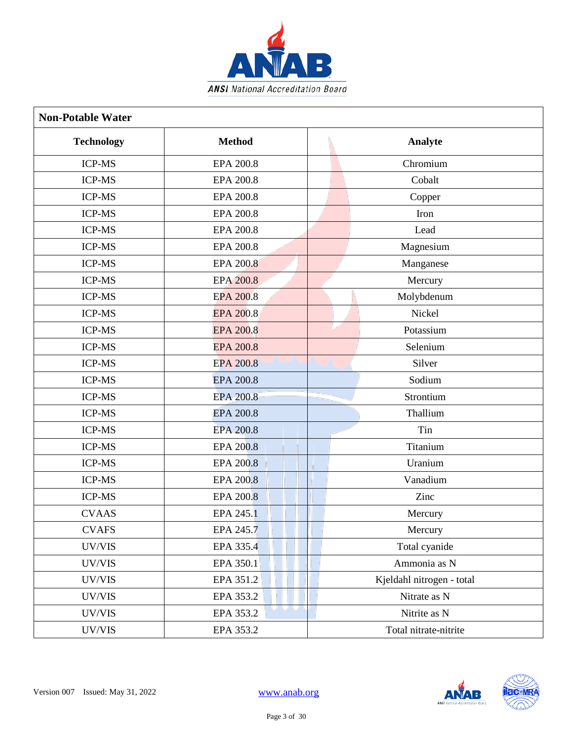

| <b>Non-Potable Water</b> |                          |                           |
|--------------------------|--------------------------|---------------------------|
| <b>Technology</b>        | <b>Method</b>            | Analyte                   |
| <b>ICP-MS</b>            | <b>EPA 200.8</b>         | Chromium                  |
| <b>ICP-MS</b>            | <b>EPA 200.8</b>         | Cobalt                    |
| <b>ICP-MS</b>            | <b>EPA 200.8</b>         | Copper                    |
| <b>ICP-MS</b>            | <b>EPA 200.8</b>         | Iron                      |
| ICP-MS                   | <b>EPA 200.8</b>         | Lead                      |
| <b>ICP-MS</b>            | <b>EPA 200.8</b>         | Magnesium                 |
| <b>ICP-MS</b>            | EPA 200.8                | Manganese                 |
| <b>ICP-MS</b>            | <b>EPA 200.8</b>         | Mercury                   |
| <b>ICP-MS</b>            | <b>EPA 200.8</b>         | Molybdenum                |
| <b>ICP-MS</b>            | <b>EPA 200.8</b>         | Nickel                    |
| <b>ICP-MS</b>            | <b>EPA 200.8</b>         | Potassium                 |
| <b>ICP-MS</b>            | <b>EPA 200.8</b>         | Selenium                  |
| <b>ICP-MS</b>            | <b>EPA 200.8</b>         | Silver                    |
| <b>ICP-MS</b>            | <b>EPA 200.8</b>         | Sodium                    |
| <b>ICP-MS</b>            | <b>EPA 200.8</b>         | Strontium                 |
| <b>ICP-MS</b>            | <b>EPA 200.8</b>         | Thallium                  |
| <b>ICP-MS</b>            | <b>EPA 200.8</b>         | Tin                       |
| <b>ICP-MS</b>            | <b>EPA 200.8</b>         | Titanium                  |
| <b>ICP-MS</b>            | <b>EPA 200.8</b>         | Uranium                   |
| ICP-MS                   | <b>EPA 200.8</b>         | Vanadium                  |
| ICP-MS                   | EPA 200.8                | Zinc                      |
| <b>CVAAS</b>             | EPA 245.1                | Mercury                   |
| <b>CVAFS</b>             | EPA 245.7                | Mercury                   |
| UV/VIS                   | EPA 335.4                | Total cyanide             |
| UV/VIS                   | EPA 350.1                | Ammonia as N              |
| UV/VIS                   | EPA 351.2                | Kjeldahl nitrogen - total |
| UV/VIS                   | EPA 353.2                | Nitrate as N              |
| UV/VIS                   | انا انا انا<br>EPA 353.2 | Nitrite as N              |
| UV/VIS                   | EPA 353.2                | Total nitrate-nitrite     |

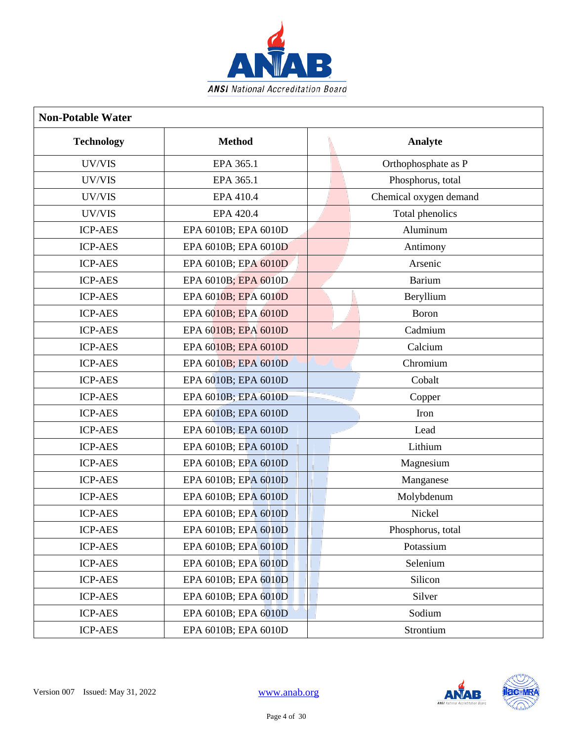

| <b>Non-Potable Water</b> |                      |                        |
|--------------------------|----------------------|------------------------|
| <b>Technology</b>        | <b>Method</b>        | Analyte                |
| UV/VIS                   | EPA 365.1            | Orthophosphate as P    |
| UV/VIS                   | EPA 365.1            | Phosphorus, total      |
| UV/VIS                   | EPA 410.4            | Chemical oxygen demand |
| UV/VIS                   | EPA 420.4            | Total phenolics        |
| <b>ICP-AES</b>           | EPA 6010B; EPA 6010D | Aluminum               |
| <b>ICP-AES</b>           | EPA 6010B; EPA 6010D | Antimony               |
| <b>ICP-AES</b>           | EPA 6010B; EPA 6010D | Arsenic                |
| <b>ICP-AES</b>           | EPA 6010B; EPA 6010D | Barium                 |
| <b>ICP-AES</b>           | EPA 6010B; EPA 6010D | Beryllium              |
| <b>ICP-AES</b>           | EPA 6010B; EPA 6010D | <b>Boron</b>           |
| <b>ICP-AES</b>           | EPA 6010B; EPA 6010D | Cadmium                |
| <b>ICP-AES</b>           | EPA 6010B; EPA 6010D | Calcium                |
| <b>ICP-AES</b>           | EPA 6010B; EPA 6010D | Chromium               |
| <b>ICP-AES</b>           | EPA 6010B; EPA 6010D | Cobalt                 |
| <b>ICP-AES</b>           | EPA 6010B; EPA 6010D | Copper                 |
| <b>ICP-AES</b>           | EPA 6010B; EPA 6010D | Iron                   |
| <b>ICP-AES</b>           | EPA 6010B; EPA 6010D | Lead                   |
| <b>ICP-AES</b>           | EPA 6010B; EPA 6010D | Lithium                |
| <b>ICP-AES</b>           | EPA 6010B; EPA 6010D | Magnesium              |
| <b>ICP-AES</b>           | EPA 6010B; EPA 6010D | Manganese              |
| <b>ICP-AES</b>           | EPA 6010B; EPA 6010D | Molybdenum             |
| <b>ICP-AES</b>           | EPA 6010B; EPA 6010D | Nickel                 |
| <b>ICP-AES</b>           | EPA 6010B; EPA 6010D | Phosphorus, total      |
| <b>ICP-AES</b>           | EPA 6010B; EPA 6010D | Potassium              |
| <b>ICP-AES</b>           | EPA 6010B; EPA 6010D | Selenium               |
| <b>ICP-AES</b>           | EPA 6010B; EPA 6010D | Silicon                |
| <b>ICP-AES</b>           | EPA 6010B; EPA 6010D | Silver                 |
| <b>ICP-AES</b>           | EPA 6010B; EPA 6010D | Sodium                 |
| <b>ICP-AES</b>           | EPA 6010B; EPA 6010D | Strontium              |

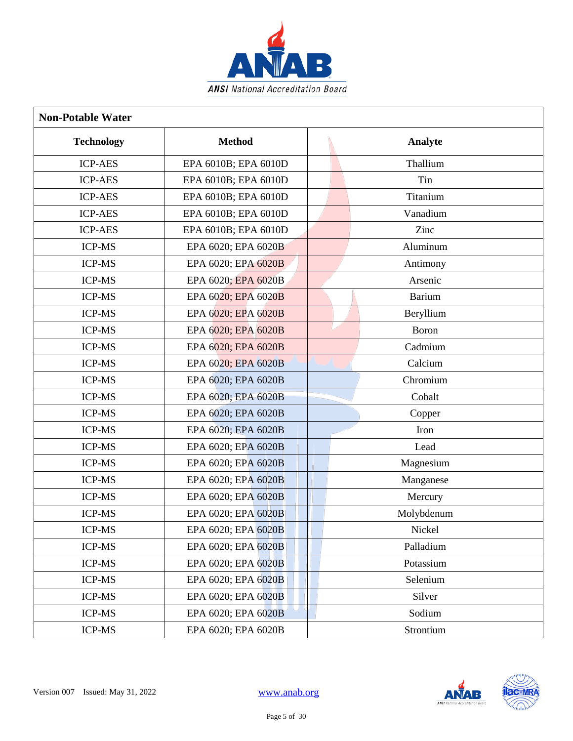

| <b>Non-Potable Water</b> |                      |            |
|--------------------------|----------------------|------------|
| <b>Technology</b>        | <b>Method</b>        | Analyte    |
| <b>ICP-AES</b>           | EPA 6010B; EPA 6010D | Thallium   |
| <b>ICP-AES</b>           | EPA 6010B; EPA 6010D | Tin        |
| <b>ICP-AES</b>           | EPA 6010B; EPA 6010D | Titanium   |
| <b>ICP-AES</b>           | EPA 6010B; EPA 6010D | Vanadium   |
| <b>ICP-AES</b>           | EPA 6010B; EPA 6010D | Zinc       |
| <b>ICP-MS</b>            | EPA 6020; EPA 6020B  | Aluminum   |
| <b>ICP-MS</b>            | EPA 6020; EPA 6020B  | Antimony   |
| <b>ICP-MS</b>            | EPA 6020; EPA 6020B  | Arsenic    |
| <b>ICP-MS</b>            | EPA 6020; EPA 6020B  | Barium     |
| <b>ICP-MS</b>            | EPA 6020; EPA 6020B  | Beryllium  |
| <b>ICP-MS</b>            | EPA 6020; EPA 6020B  | Boron      |
| <b>ICP-MS</b>            | EPA 6020; EPA 6020B  | Cadmium    |
| <b>ICP-MS</b>            | EPA 6020; EPA 6020B  | Calcium    |
| <b>ICP-MS</b>            | EPA 6020; EPA 6020B  | Chromium   |
| <b>ICP-MS</b>            | EPA 6020; EPA 6020B  | Cobalt     |
| <b>ICP-MS</b>            | EPA 6020; EPA 6020B  | Copper     |
| <b>ICP-MS</b>            | EPA 6020; EPA 6020B  | Iron       |
| <b>ICP-MS</b>            | EPA 6020; EPA 6020B  | Lead       |
| <b>ICP-MS</b>            | EPA 6020; EPA 6020B  | Magnesium  |
| <b>ICP-MS</b>            | EPA 6020; EPA 6020B  | Manganese  |
| <b>ICP-MS</b>            | EPA 6020; EPA 6020B  | Mercury    |
| <b>ICP-MS</b>            | EPA 6020; EPA 6020B  | Molybdenum |
| ICP-MS                   | EPA 6020; EPA 6020B  | Nickel     |
| <b>ICP-MS</b>            | EPA 6020; EPA 6020B  | Palladium  |
| <b>ICP-MS</b>            | EPA 6020; EPA 6020B  | Potassium  |
| <b>ICP-MS</b>            | EPA 6020; EPA 6020B  | Selenium   |
| ICP-MS                   | EPA 6020; EPA 6020B  | Silver     |
| <b>ICP-MS</b>            | EPA 6020; EPA 6020B  | Sodium     |
| <b>ICP-MS</b>            | EPA 6020; EPA 6020B  | Strontium  |

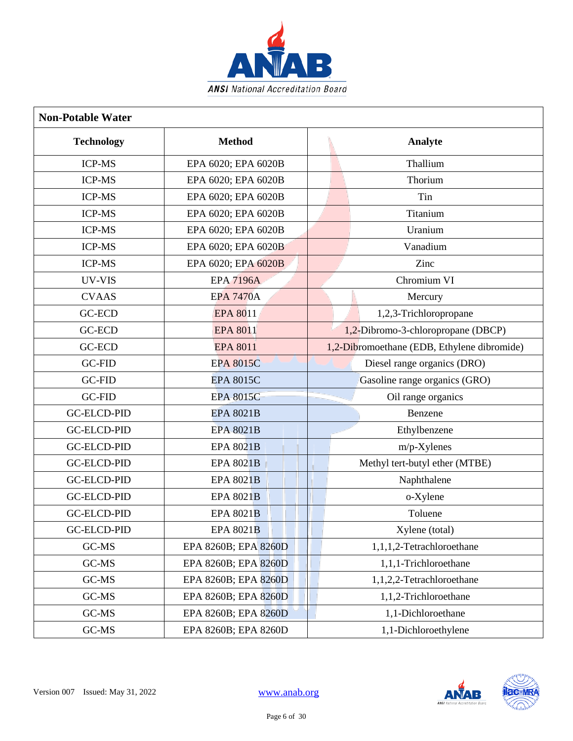

| <b>Non-Potable Water</b> |                      |                                             |
|--------------------------|----------------------|---------------------------------------------|
| <b>Technology</b>        | <b>Method</b>        | Analyte                                     |
| <b>ICP-MS</b>            | EPA 6020; EPA 6020B  | Thallium                                    |
| <b>ICP-MS</b>            | EPA 6020; EPA 6020B  | Thorium                                     |
| <b>ICP-MS</b>            | EPA 6020; EPA 6020B  | Tin                                         |
| <b>ICP-MS</b>            | EPA 6020; EPA 6020B  | Titanium                                    |
| <b>ICP-MS</b>            | EPA 6020; EPA 6020B  | Uranium                                     |
| <b>ICP-MS</b>            | EPA 6020; EPA 6020B  | Vanadium                                    |
| <b>ICP-MS</b>            | EPA 6020; EPA 6020B  | Zinc                                        |
| UV-VIS                   | <b>EPA 7196A</b>     | Chromium VI                                 |
| <b>CVAAS</b>             | <b>EPA 7470A</b>     | Mercury                                     |
| <b>GC-ECD</b>            | <b>EPA 8011</b>      | 1,2,3-Trichloropropane                      |
| <b>GC-ECD</b>            | <b>EPA 8011</b>      | 1,2-Dibromo-3-chloropropane (DBCP)          |
| <b>GC-ECD</b>            | <b>EPA 8011</b>      | 1,2-Dibromoethane (EDB, Ethylene dibromide) |
| <b>GC-FID</b>            | <b>EPA 8015C</b>     | Diesel range organics (DRO)                 |
| <b>GC-FID</b>            | <b>EPA 8015C</b>     | Gasoline range organics (GRO)               |
| <b>GC-FID</b>            | <b>EPA 8015C</b>     | Oil range organics                          |
| <b>GC-ELCD-PID</b>       | <b>EPA 8021B</b>     | Benzene                                     |
| <b>GC-ELCD-PID</b>       | EPA-8021B            | Ethylbenzene                                |
| <b>GC-ELCD-PID</b>       | <b>EPA 8021B</b>     | m/p-Xylenes                                 |
| <b>GC-ELCD-PID</b>       | <b>EPA 8021B</b>     | Methyl tert-butyl ether (MTBE)              |
| <b>GC-ELCD-PID</b>       | <b>EPA 8021B</b>     | Naphthalene                                 |
| <b>GC-ELCD-PID</b>       | <b>EPA 8021B</b>     | o-Xylene                                    |
| <b>GC-ELCD-PID</b>       | <b>EPA 8021B</b>     | Toluene                                     |
| <b>GC-ELCD-PID</b>       | <b>EPA 8021B</b>     | Xylene (total)                              |
| GC-MS                    | EPA 8260B; EPA 8260D | 1,1,1,2-Tetrachloroethane                   |
| GC-MS                    | EPA 8260B; EPA 8260D | 1,1,1-Trichloroethane                       |
| GC-MS                    | EPA 8260B; EPA 8260D | 1,1,2,2-Tetrachloroethane                   |
| GC-MS                    | EPA 8260B; EPA 8260D | 1,1,2-Trichloroethane                       |
| GC-MS                    | EPA 8260B; EPA 8260D | 1,1-Dichloroethane                          |
| GC-MS                    | EPA 8260B; EPA 8260D | 1,1-Dichloroethylene                        |

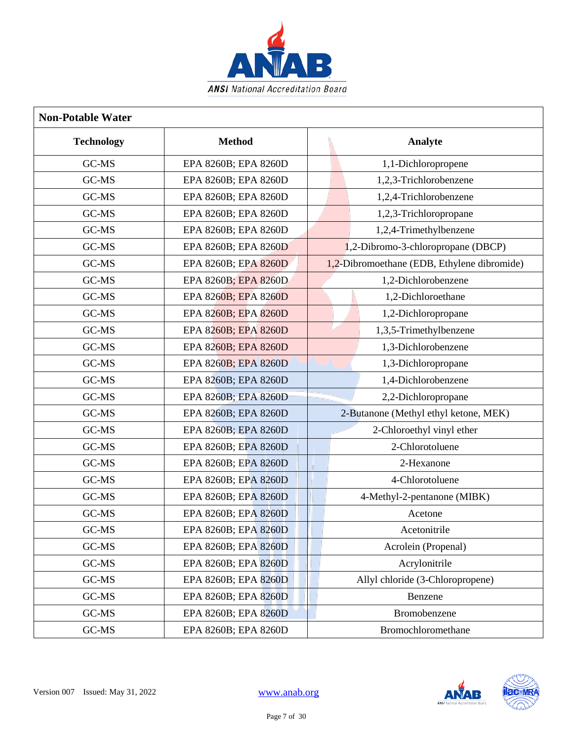

| <b>Non-Potable Water</b> |                      |                                             |
|--------------------------|----------------------|---------------------------------------------|
| <b>Technology</b>        | <b>Method</b>        | Analyte                                     |
| GC-MS                    | EPA 8260B; EPA 8260D | 1,1-Dichloropropene                         |
| GC-MS                    | EPA 8260B; EPA 8260D | 1,2,3-Trichlorobenzene                      |
| GC-MS                    | EPA 8260B; EPA 8260D | 1,2,4-Trichlorobenzene                      |
| GC-MS                    | EPA 8260B; EPA 8260D | 1,2,3-Trichloropropane                      |
| GC-MS                    | EPA 8260B; EPA 8260D | 1,2,4-Trimethylbenzene                      |
| GC-MS                    | EPA 8260B; EPA 8260D | 1,2-Dibromo-3-chloropropane (DBCP)          |
| GC-MS                    | EPA 8260B; EPA 8260D | 1,2-Dibromoethane (EDB, Ethylene dibromide) |
| GC-MS                    | EPA 8260B; EPA 8260D | 1,2-Dichlorobenzene                         |
| GC-MS                    | EPA 8260B; EPA 8260D | 1,2-Dichloroethane                          |
| GC-MS                    | EPA 8260B; EPA 8260D | 1,2-Dichloropropane                         |
| GC-MS                    | EPA 8260B; EPA 8260D | 1,3,5-Trimethylbenzene                      |
| GC-MS                    | EPA 8260B; EPA 8260D | 1,3-Dichlorobenzene                         |
| GC-MS                    | EPA 8260B; EPA 8260D | 1,3-Dichloropropane                         |
| GC-MS                    | EPA 8260B; EPA 8260D | 1,4-Dichlorobenzene                         |
| GC-MS                    | EPA 8260B; EPA 8260D | 2,2-Dichloropropane                         |
| GC-MS                    | EPA 8260B; EPA 8260D | 2-Butanone (Methyl ethyl ketone, MEK)       |
| GC-MS                    | EPA 8260B; EPA 8260D | 2-Chloroethyl vinyl ether                   |
| GC-MS                    | EPA 8260B; EPA 8260D | 2-Chlorotoluene                             |
| GC-MS                    | EPA 8260B; EPA 8260D | 2-Hexanone                                  |
| GC-MS                    | EPA 8260B; EPA 8260D | 4-Chlorotoluene                             |
| GC-MS                    | EPA 8260B; EPA 8260D | 4-Methyl-2-pentanone (MIBK)                 |
| GC-MS                    | EPA 8260B; EPA 8260D | Acetone                                     |
| GC-MS                    | EPA 8260B; EPA 8260D | Acetonitrile                                |
| GC-MS                    | EPA 8260B; EPA 8260D | Acrolein (Propenal)                         |
| GC-MS                    | EPA 8260B; EPA 8260D | Acrylonitrile                               |
| GC-MS                    | EPA 8260B; EPA 8260D | Allyl chloride (3-Chloropropene)            |
| GC-MS                    | EPA 8260B; EPA 8260D | Benzene                                     |
| GC-MS                    | EPA 8260B; EPA 8260D | Bromobenzene                                |
| GC-MS                    | EPA 8260B; EPA 8260D | Bromochloromethane                          |

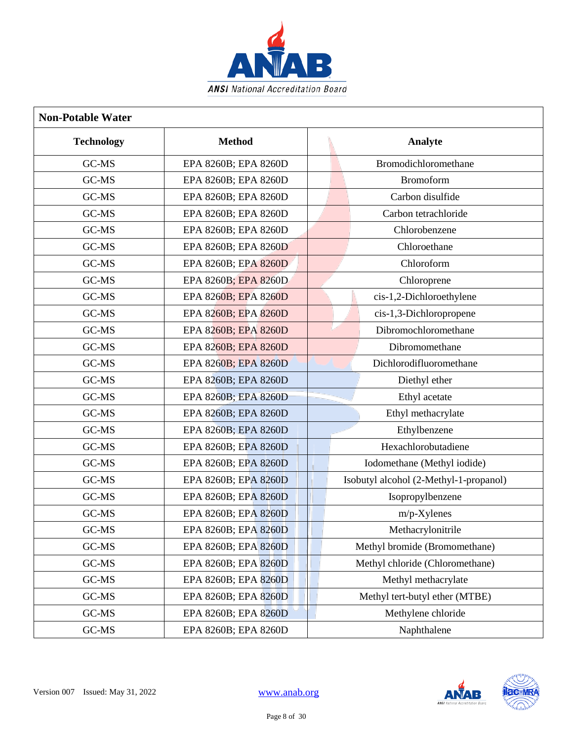

| <b>Non-Potable Water</b> |                      |                                        |
|--------------------------|----------------------|----------------------------------------|
| <b>Technology</b>        | <b>Method</b>        | Analyte                                |
| GC-MS                    | EPA 8260B; EPA 8260D | Bromodichloromethane                   |
| GC-MS                    | EPA 8260B; EPA 8260D | <b>Bromoform</b>                       |
| GC-MS                    | EPA 8260B; EPA 8260D | Carbon disulfide                       |
| GC-MS                    | EPA 8260B; EPA 8260D | Carbon tetrachloride                   |
| GC-MS                    | EPA 8260B; EPA 8260D | Chlorobenzene                          |
| GC-MS                    | EPA 8260B; EPA 8260D | Chloroethane                           |
| GC-MS                    | EPA 8260B; EPA 8260D | Chloroform                             |
| GC-MS                    | EPA 8260B; EPA 8260D | Chloroprene                            |
| GC-MS                    | EPA 8260B; EPA 8260D | cis-1,2-Dichloroethylene               |
| GC-MS                    | EPA 8260B; EPA 8260D | cis-1,3-Dichloropropene                |
| GC-MS                    | EPA 8260B; EPA 8260D | Dibromochloromethane                   |
| GC-MS                    | EPA 8260B; EPA 8260D | Dibromomethane                         |
| GC-MS                    | EPA 8260B; EPA 8260D | Dichlorodifluoromethane                |
| GC-MS                    | EPA 8260B; EPA 8260D | Diethyl ether                          |
| GC-MS                    | EPA 8260B; EPA 8260D | Ethyl acetate                          |
| GC-MS                    | EPA 8260B; EPA 8260D | Ethyl methacrylate                     |
| GC-MS                    | EPA 8260B; EPA 8260D | Ethylbenzene                           |
| GC-MS                    | EPA 8260B; EPA 8260D | Hexachlorobutadiene                    |
| GC-MS                    | EPA 8260B; EPA 8260D | Iodomethane (Methyl iodide)            |
| GC-MS                    | EPA 8260B; EPA 8260D | Isobutyl alcohol (2-Methyl-1-propanol) |
| GC-MS                    | EPA 8260B; EPA 8260D | Isopropylbenzene                       |
| GC-MS                    | EPA 8260B; EPA 8260D | m/p-Xylenes                            |
| GC-MS                    | EPA 8260B; EPA 8260D | Methacrylonitrile                      |
| GC-MS                    | EPA 8260B; EPA 8260D | Methyl bromide (Bromomethane)          |
| GC-MS                    | EPA 8260B; EPA 8260D | Methyl chloride (Chloromethane)        |
| GC-MS                    | EPA 8260B; EPA 8260D | Methyl methacrylate                    |
| GC-MS                    | EPA 8260B; EPA 8260D | Methyl tert-butyl ether (MTBE)         |
| GC-MS                    | EPA 8260B; EPA 8260D | Methylene chloride                     |
| GC-MS                    | EPA 8260B; EPA 8260D | Naphthalene                            |

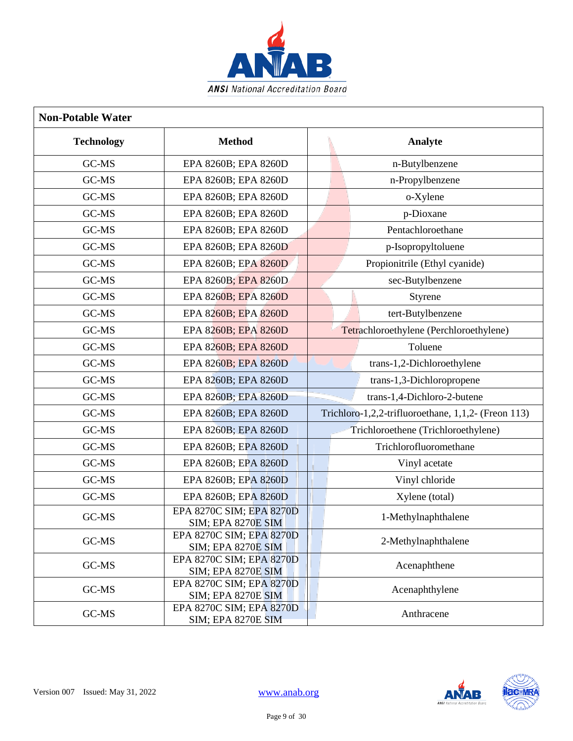

| <b>Non-Potable Water</b> |                                                       |                                                     |
|--------------------------|-------------------------------------------------------|-----------------------------------------------------|
| <b>Technology</b>        | <b>Method</b>                                         | Analyte                                             |
| GC-MS                    | EPA 8260B; EPA 8260D                                  | n-Butylbenzene                                      |
| GC-MS                    | EPA 8260B; EPA 8260D                                  | n-Propylbenzene                                     |
| GC-MS                    | EPA 8260B; EPA 8260D                                  | o-Xylene                                            |
| GC-MS                    | EPA 8260B; EPA 8260D                                  | p-Dioxane                                           |
| GC-MS                    | EPA 8260B; EPA 8260D                                  | Pentachloroethane                                   |
| GC-MS                    | EPA 8260B; EPA 8260D                                  | p-Isopropyltoluene                                  |
| GC-MS                    | EPA 8260B; EPA 8260D                                  | Propionitrile (Ethyl cyanide)                       |
| GC-MS                    | EPA 8260B; EPA 8260D                                  | sec-Butylbenzene                                    |
| GC-MS                    | EPA 8260B; EPA 8260D                                  | Styrene                                             |
| GC-MS                    | EPA 8260B; EPA 8260D                                  | tert-Butylbenzene                                   |
| GC-MS                    | EPA 8260B; EPA 8260D                                  | Tetrachloroethylene (Perchloroethylene)             |
| GC-MS                    | EPA 8260B; EPA 8260D                                  | Toluene                                             |
| GC-MS                    | EPA 8260B; EPA 8260D                                  | trans-1,2-Dichloroethylene                          |
| GC-MS                    | EPA 8260B; EPA 8260D                                  | trans-1,3-Dichloropropene                           |
| GC-MS                    | EPA 8260B; EPA 8260D                                  | trans-1,4-Dichloro-2-butene                         |
| GC-MS                    | EPA 8260B; EPA 8260D                                  | Trichloro-1,2,2-trifluoroethane, 1,1,2- (Freon 113) |
| GC-MS                    | EPA 8260B; EPA 8260D                                  | Trichloroethene (Trichloroethylene)                 |
| GC-MS                    | EPA 8260B; EPA 8260D                                  | Trichlorofluoromethane                              |
| GC-MS                    | EPA 8260B; EPA 8260D                                  | Vinyl acetate                                       |
| GC-MS                    | EPA 8260B; EPA 8260D                                  | Vinyl chloride                                      |
| GC-MS                    | EPA 8260B; EPA 8260D                                  | Xylene (total)                                      |
| GC-MS                    | EPA 8270C SIM; EPA 8270D<br><b>SIM; EPA 8270E SIM</b> | 1-Methylnaphthalene                                 |
| GC-MS                    | EPA 8270C SIM; EPA 8270D<br><b>SIM; EPA 8270E SIM</b> | 2-Methylnaphthalene                                 |
| GC-MS                    | EPA 8270C SIM; EPA 8270D<br><b>SIM; EPA 8270E SIM</b> | Acenaphthene                                        |
| GC-MS                    | EPA 8270C SIM; EPA 8270D<br><b>SIM; EPA 8270E SIM</b> | Acenaphthylene                                      |
| GC-MS                    | EPA 8270C SIM; EPA 8270D<br><b>SIM; EPA 8270E SIM</b> | Anthracene                                          |

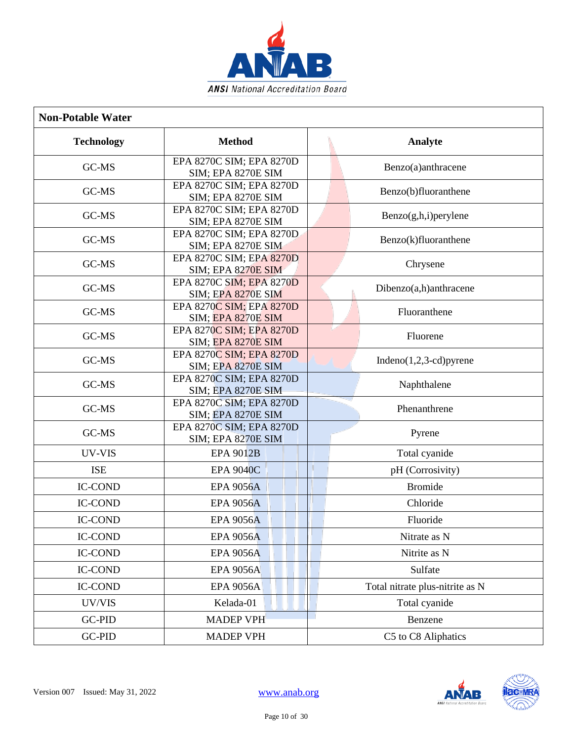

| <b>Non-Potable Water</b> |                                                       |                                 |
|--------------------------|-------------------------------------------------------|---------------------------------|
| <b>Technology</b>        | <b>Method</b>                                         | Analyte                         |
| GC-MS                    | EPA 8270C SIM; EPA 8270D<br><b>SIM; EPA 8270E SIM</b> | Benzo(a)anthracene              |
| GC-MS                    | EPA 8270C SIM; EPA 8270D<br><b>SIM; EPA 8270E SIM</b> | Benzo(b)fluoranthene            |
| GC-MS                    | EPA 8270C SIM; EPA 8270D<br><b>SIM; EPA 8270E SIM</b> | $Benzo(g,h,i)$ per ylene        |
| GC-MS                    | EPA 8270C SIM; EPA 8270D<br>SIM; EPA 8270E SIM        | Benzo(k)fluoranthene            |
| GC-MS                    | EPA 8270C SIM; EPA 8270D<br><b>SIM; EPA 8270E SIM</b> | Chrysene                        |
| GC-MS                    | EPA 8270C SIM; EPA 8270D<br><b>SIM; EPA 8270E SIM</b> | Dibenzo(a,h)anthracene          |
| GC-MS                    | EPA 8270C SIM; EPA 8270D<br><b>SIM; EPA 8270E SIM</b> | Fluoranthene                    |
| $GC-MS$                  | EPA 8270C SIM; EPA 8270D<br><b>SIM; EPA 8270E SIM</b> | Fluorene                        |
| GC-MS                    | EPA 8270C SIM; EPA 8270D<br><b>SIM; EPA 8270E SIM</b> | Indeno $(1,2,3$ -cd) pyrene     |
| GC-MS                    | EPA 8270C SIM; EPA 8270D<br>SIM; EPA 8270E SIM        | Naphthalene                     |
| GC-MS                    | EPA 8270C SIM; EPA 8270D<br><b>SIM; EPA 8270E SIM</b> | Phenanthrene                    |
| GC-MS                    | EPA 8270C SIM; EPA 8270D<br><b>SIM; EPA 8270E SIM</b> | Pyrene                          |
| UV-VIS                   | <b>EPA 9012B</b>                                      | Total cyanide                   |
| <b>ISE</b>               | <b>EPA 9040C</b>                                      | pH (Corrosivity)                |
| <b>IC-COND</b>           | <b>EPA 9056A</b>                                      | <b>Bromide</b>                  |
| <b>IC-COND</b>           | <b>EPA 9056A</b>                                      | Chloride                        |
| <b>IC-COND</b>           | <b>EPA 9056A</b>                                      | Fluoride                        |
| <b>IC-COND</b>           | <b>EPA 9056A</b>                                      | Nitrate as N                    |
| <b>IC-COND</b>           | <b>EPA 9056A</b>                                      | Nitrite as N                    |
| <b>IC-COND</b>           | <b>EPA 9056A</b>                                      | Sulfate                         |
| <b>IC-COND</b>           | <b>EPA 9056A</b>                                      | Total nitrate plus-nitrite as N |
| UV/VIS                   | Kelada-01                                             | Total cyanide                   |
| GC-PID                   | <b>MADEP VPH</b>                                      | Benzene                         |
| GC-PID                   | <b>MADEP VPH</b>                                      | C5 to C8 Aliphatics             |

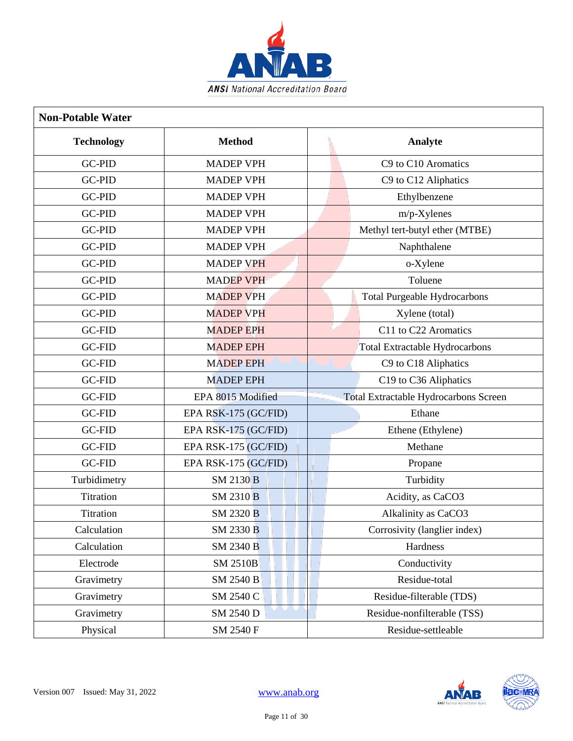

| <b>Non-Potable Water</b> |                             |                                              |
|--------------------------|-----------------------------|----------------------------------------------|
| <b>Technology</b>        | <b>Method</b>               | Analyte                                      |
| <b>GC-PID</b>            | <b>MADEP VPH</b>            | C9 to C10 Aromatics                          |
| <b>GC-PID</b>            | <b>MADEP VPH</b>            | C9 to C12 Aliphatics                         |
| <b>GC-PID</b>            | <b>MADEP VPH</b>            | Ethylbenzene                                 |
| GC-PID                   | <b>MADEP VPH</b>            | $m/p$ -Xylenes                               |
| <b>GC-PID</b>            | <b>MADEP VPH</b>            | Methyl tert-butyl ether (MTBE)               |
| GC-PID                   | <b>MADEP VPH</b>            | Naphthalene                                  |
| <b>GC-PID</b>            | <b>MADEP VPH</b>            | o-Xylene                                     |
| GC-PID                   | <b>MADEP VPH</b>            | Toluene                                      |
| <b>GC-PID</b>            | <b>MADEP VPH</b>            | Total Purgeable Hydrocarbons                 |
| <b>GC-PID</b>            | <b>MADEP VPH</b>            | Xylene (total)                               |
| <b>GC-FID</b>            | <b>MADEP EPH</b>            | C11 to C22 Aromatics                         |
| <b>GC-FID</b>            | <b>MADEP EPH</b>            | Total Extractable Hydrocarbons               |
| <b>GC-FID</b>            | <b>MADEP EPH</b>            | C9 to C18 Aliphatics                         |
| GC-FID                   | <b>MADEP EPH</b>            | C19 to C36 Aliphatics                        |
| <b>GC-FID</b>            | EPA 8015 Modified           | <b>Total Extractable Hydrocarbons Screen</b> |
| GC-FID                   | EPA RSK-175 (GC/FID)        | Ethane                                       |
| <b>GC-FID</b>            | EPA RSK-175 (GC/FID)        | Ethene (Ethylene)                            |
| <b>GC-FID</b>            | EPA RSK-175 (GC/FID)        | Methane                                      |
| <b>GC-FID</b>            | EPA RSK-175 (GC/FID)        | Propane                                      |
| Turbidimetry             | <b>SM 2130 B</b>            | Turbidity                                    |
| Titration                | SM 2310 B                   | Acidity, as CaCO3                            |
| Titration                | SM 2320 B                   | Alkalinity as CaCO3                          |
| Calculation              | SM 2330 B                   | Corrosivity (langlier index)                 |
| Calculation              | <b>SM 2340 B</b>            | Hardness                                     |
| Electrode                | <b>SM 2510B</b>             | Conductivity                                 |
| Gravimetry               | SM 2540 B                   | Residue-total                                |
| Gravimetry               | SM 2540 C                   | Residue-filterable (TDS)                     |
| Gravimetry               | ن ان از<br><b>SM 2540 D</b> | Residue-nonfilterable (TSS)                  |
| Physical                 | SM 2540 F                   | Residue-settleable                           |

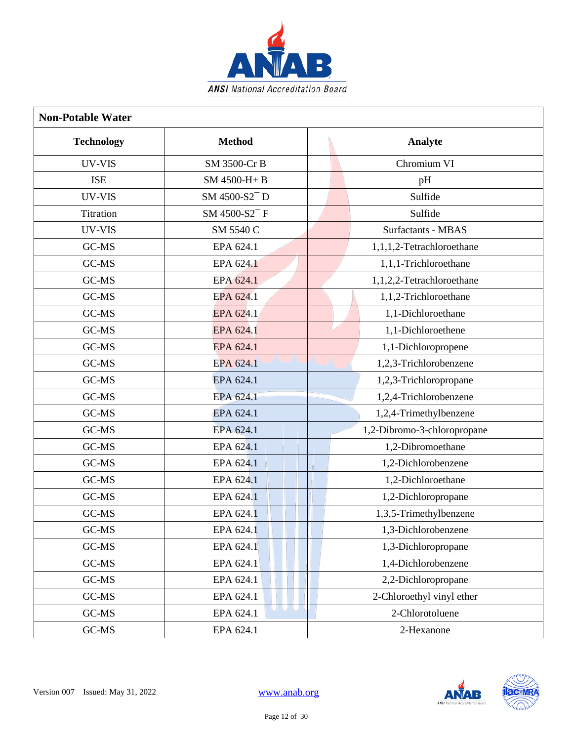

| <b>Non-Potable Water</b> |                           |                             |
|--------------------------|---------------------------|-----------------------------|
| <b>Technology</b>        | <b>Method</b>             | Analyte                     |
| UV-VIS                   | SM 3500-Cr B              | Chromium VI                 |
| <b>ISE</b>               | SM 4500-H+B               | pH                          |
| UV-VIS                   | SM 4500-S2 <sup>-</sup> D | Sulfide                     |
| Titration                | SM 4500-S2 <sup>-</sup> F | Sulfide                     |
| UV-VIS                   | SM 5540 C                 | <b>Surfactants - MBAS</b>   |
| GC-MS                    | EPA 624.1                 | 1,1,1,2-Tetrachloroethane   |
| GC-MS                    | EPA 624.1                 | 1,1,1-Trichloroethane       |
| GC-MS                    | EPA 624.1                 | 1,1,2,2-Tetrachloroethane   |
| GC-MS                    | EPA 624.1                 | 1,1,2-Trichloroethane       |
| GC-MS                    | EPA 624.1                 | 1,1-Dichloroethane          |
| GC-MS                    | EPA 624.1                 | 1,1-Dichloroethene          |
| GC-MS                    | EPA 624.1                 | 1,1-Dichloropropene         |
| GC-MS                    | EPA 624.1                 | 1,2,3-Trichlorobenzene      |
| GC-MS                    | EPA 624.1                 | 1,2,3-Trichloropropane      |
| GC-MS                    | EPA 624.1                 | 1,2,4-Trichlorobenzene      |
| GC-MS                    | EPA 624.1                 | 1,2,4-Trimethylbenzene      |
| GC-MS                    | EPA 624.1                 | 1,2-Dibromo-3-chloropropane |
| GC-MS                    | EPA 624.1                 | 1,2-Dibromoethane           |
| GC-MS                    | EPA 624.1                 | 1,2-Dichlorobenzene         |
| GC-MS                    | EPA 624.1                 | 1,2-Dichloroethane          |
| GC-MS                    | EPA 624.1                 | 1,2-Dichloropropane         |
| GC-MS                    | EPA 624.1                 | 1,3,5-Trimethylbenzene      |
| GC-MS                    | EPA 624.1                 | 1,3-Dichlorobenzene         |
| GC-MS                    | EPA 624.1                 | 1,3-Dichloropropane         |
| GC-MS                    | EPA 624.1                 | 1,4-Dichlorobenzene         |
| GC-MS                    | EPA 624.1                 | 2,2-Dichloropropane         |
| GC-MS                    | EPA 624.1                 | 2-Chloroethyl vinyl ether   |
| GC-MS                    | EPA 624.1                 | 2-Chlorotoluene             |
| GC-MS                    | EPA 624.1                 | 2-Hexanone                  |

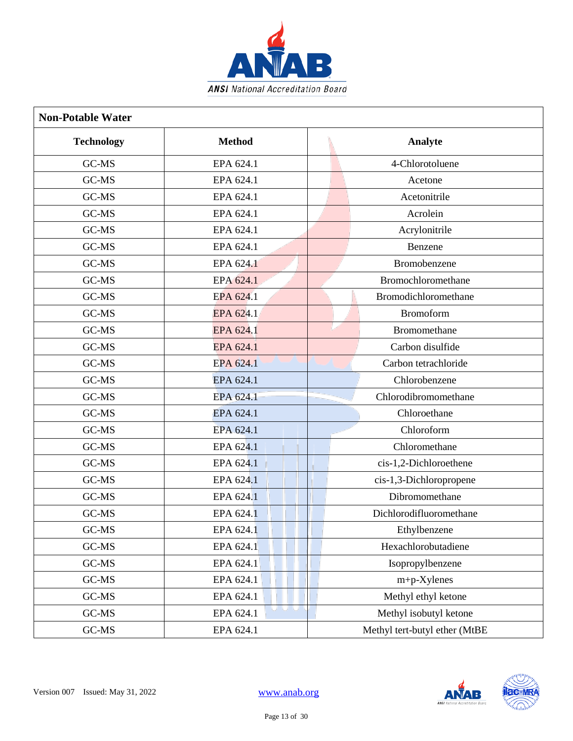

| <b>Non-Potable Water</b> |               |                               |  |  |
|--------------------------|---------------|-------------------------------|--|--|
| <b>Technology</b>        | <b>Method</b> | Analyte                       |  |  |
| GC-MS                    | EPA 624.1     | 4-Chlorotoluene               |  |  |
| GC-MS                    | EPA 624.1     | Acetone                       |  |  |
| GC-MS                    | EPA 624.1     | Acetonitrile                  |  |  |
| GC-MS                    | EPA 624.1     | Acrolein                      |  |  |
| GC-MS                    | EPA 624.1     | Acrylonitrile                 |  |  |
| GC-MS                    | EPA 624.1     | Benzene                       |  |  |
| GC-MS                    | EPA 624.1     | Bromobenzene                  |  |  |
| GC-MS                    | EPA 624.1     | Bromochloromethane            |  |  |
| GC-MS                    | EPA 624.1     | Bromodichloromethane          |  |  |
| GC-MS                    | EPA 624.1     | <b>Bromoform</b>              |  |  |
| GC-MS                    | EPA 624.1     | <b>Bromomethane</b>           |  |  |
| GC-MS                    | EPA 624.1     | Carbon disulfide              |  |  |
| GC-MS                    | EPA 624.1     | Carbon tetrachloride          |  |  |
| GC-MS                    | EPA 624.1     | Chlorobenzene                 |  |  |
| GC-MS                    | EPA 624.1     | Chlorodibromomethane          |  |  |
| GC-MS                    | EPA 624.1     | Chloroethane                  |  |  |
| GC-MS                    | EPA 624.1     | Chloroform                    |  |  |
| GC-MS                    | EPA 624.1     | Chloromethane                 |  |  |
| GC-MS                    | EPA 624.1     | cis-1,2-Dichloroethene        |  |  |
| GC-MS                    | EPA 624.1     | cis-1,3-Dichloropropene       |  |  |
| GC-MS                    | EPA 624.1     | Dibromomethane                |  |  |
| GC-MS                    | EPA 624.1     | Dichlorodifluoromethane       |  |  |
| GC-MS                    | EPA 624.1     | Ethylbenzene                  |  |  |
| GC-MS                    | EPA 624.1     | Hexachlorobutadiene           |  |  |
| GC-MS                    | EPA 624.1     | Isopropylbenzene              |  |  |
| GC-MS                    | EPA 624.1     | m+p-Xylenes                   |  |  |
| GC-MS                    | EPA 624.1     | Methyl ethyl ketone           |  |  |
| GC-MS                    | EPA 624.1     | Methyl isobutyl ketone        |  |  |
| GC-MS                    | EPA 624.1     | Methyl tert-butyl ether (MtBE |  |  |

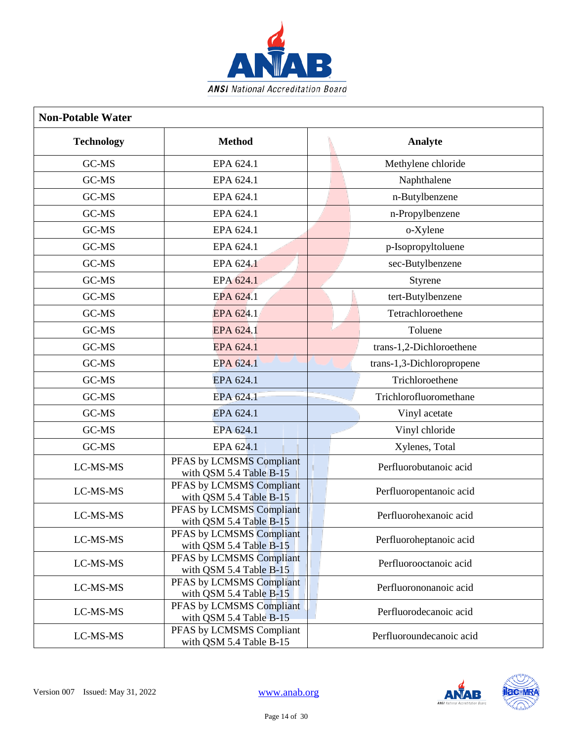

| <b>Non-Potable Water</b> |                                                         |                           |  |  |
|--------------------------|---------------------------------------------------------|---------------------------|--|--|
| <b>Technology</b>        | <b>Method</b>                                           | Analyte                   |  |  |
| GC-MS                    | EPA 624.1                                               | Methylene chloride        |  |  |
| GC-MS                    | EPA 624.1                                               | Naphthalene               |  |  |
| GC-MS                    | EPA 624.1                                               | n-Butylbenzene            |  |  |
| GC-MS                    | EPA 624.1                                               | n-Propylbenzene           |  |  |
| GC-MS                    | EPA 624.1                                               | o-Xylene                  |  |  |
| GC-MS                    | EPA 624.1                                               | p-Isopropyltoluene        |  |  |
| GC-MS                    | EPA 624.1                                               | sec-Butylbenzene          |  |  |
| GC-MS                    | EPA 624.1                                               | Styrene                   |  |  |
| GC-MS                    | EPA 624.1                                               | tert-Butylbenzene         |  |  |
| GC-MS                    | EPA 624.1                                               | Tetrachloroethene         |  |  |
| GC-MS                    | EPA 624.1                                               | Toluene                   |  |  |
| GC-MS                    | EPA 624.1                                               | trans-1,2-Dichloroethene  |  |  |
| GC-MS                    | EPA 624.1                                               | trans-1,3-Dichloropropene |  |  |
| GC-MS                    | EPA 624.1                                               | Trichloroethene           |  |  |
| GC-MS                    | EPA 624.1                                               | Trichlorofluoromethane    |  |  |
| GC-MS                    | EPA 624.1                                               | Vinyl acetate             |  |  |
| GC-MS                    | EPA 624.1                                               | Vinyl chloride            |  |  |
| GC-MS                    | EPA 624.1                                               | Xylenes, Total            |  |  |
| LC-MS-MS                 | PFAS by LCMSMS Compliant<br>with QSM 5.4 Table B-15     | Perfluorobutanoic acid    |  |  |
| LC-MS-MS                 | PFAS by LCMSMS Compliant<br>with QSM 5.4 Table B-15     | Perfluoropentanoic acid   |  |  |
| LC-MS-MS                 | PFAS by LCMSMS Compliant<br>with QSM 5.4 Table B-15     | Perfluorohexanoic acid    |  |  |
| LC-MS-MS                 | PFAS by LCMSMS Compliant<br>with QSM 5.4 Table B-15     | Perfluoroheptanoic acid   |  |  |
| LC-MS-MS                 | PFAS by LCMSMS Compliant<br>with QSM 5.4 Table B-15     | Perfluorooctanoic acid    |  |  |
| LC-MS-MS                 | PFAS by LCMSMS Compliant<br>with QSM 5.4 Table $B_1$ 15 | Perfluorononanoic acid    |  |  |
| LC-MS-MS                 | PFAS by LCMSMS Compliant<br>with QSM 5.4 Table B-15     | Perfluorodecanoic acid    |  |  |
| LC-MS-MS                 | PFAS by LCMSMS Compliant<br>with QSM 5.4 Table B-15     | Perfluoroundecanoic acid  |  |  |

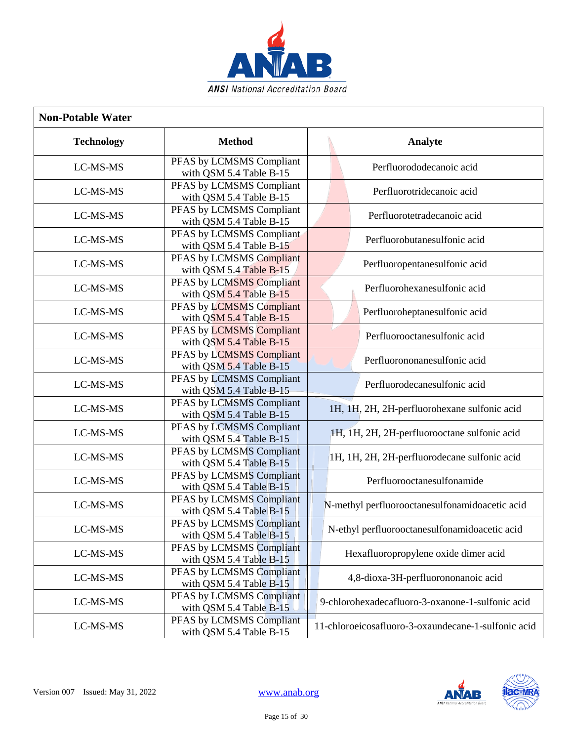

| <b>Non-Potable Water</b> |                                                     |                                                     |
|--------------------------|-----------------------------------------------------|-----------------------------------------------------|
| <b>Technology</b>        | <b>Method</b>                                       | Analyte                                             |
| LC-MS-MS                 | PFAS by LCMSMS Compliant<br>with QSM 5.4 Table B-15 | Perfluorododecanoic acid                            |
| LC-MS-MS                 | PFAS by LCMSMS Compliant<br>with QSM 5.4 Table B-15 | Perfluorotridecanoic acid                           |
| LC-MS-MS                 | PFAS by LCMSMS Compliant<br>with QSM 5.4 Table B-15 | Perfluorotetradecanoic acid                         |
| LC-MS-MS                 | PFAS by LCMSMS Compliant<br>with QSM 5.4 Table B-15 | Perfluorobutanesulfonic acid                        |
| LC-MS-MS                 | PFAS by LCMSMS Compliant<br>with QSM 5.4 Table B-15 | Perfluoropentanesulfonic acid                       |
| LC-MS-MS                 | PFAS by LCMSMS Compliant<br>with QSM 5.4 Table B-15 | Perfluorohexanesulfonic acid                        |
| LC-MS-MS                 | PFAS by LCMSMS Compliant<br>with QSM 5.4 Table B-15 | Perfluoroheptanesulfonic acid                       |
| LC-MS-MS                 | PFAS by LCMSMS Compliant<br>with QSM 5.4 Table B-15 | Perfluorooctanesulfonic acid                        |
| LC-MS-MS                 | PFAS by LCMSMS Compliant<br>with QSM 5.4 Table B-15 | Perfluorononanesulfonic acid                        |
| LC-MS-MS                 | PFAS by LCMSMS Compliant<br>with QSM 5.4 Table B-15 | Perfluorodecanesulfonic acid                        |
| LC-MS-MS                 | PFAS by LCMSMS Compliant<br>with QSM 5.4 Table B-15 | 1H, 1H, 2H, 2H-perfluorohexane sulfonic acid        |
| LC-MS-MS                 | PFAS by LCMSMS Compliant<br>with QSM 5.4 Table B-15 | 1H, 1H, 2H, 2H-perfluorooctane sulfonic acid        |
| LC-MS-MS                 | PFAS by LCMSMS Compliant<br>with QSM 5.4 Table B-15 | 1H, 1H, 2H, 2H-perfluorodecane sulfonic acid        |
| LC-MS-MS                 | PFAS by LCMSMS Compliant<br>with QSM 5.4 Table B-15 | Perfluorooctanesulfonamide                          |
| LC-MS-MS                 | PFAS by LCMSMS Compliant<br>with QSM 5.4 Table B-15 | N-methyl perfluorooctanesulfonamidoacetic acid      |
| LC-MS-MS                 | PFAS by LCMSMS Compliant<br>with QSM 5.4 Table B-15 | N-ethyl perfluorooctanesulfonamidoacetic acid       |
| LC-MS-MS                 | PFAS by LCMSMS Compliant<br>with QSM 5.4 Table B-15 | Hexafluoropropylene oxide dimer acid                |
| LC-MS-MS                 | PFAS by LCMSMS Compliant<br>with QSM 5.4 Table B-15 | 4,8-dioxa-3H-perfluorononanoic acid                 |
| LC-MS-MS                 | PFAS by LCMSMS Compliant<br>with QSM 5.4 Table B-15 | 9-chlorohexadecafluoro-3-oxanone-1-sulfonic acid    |
| LC-MS-MS                 | PFAS by LCMSMS Compliant<br>with QSM 5.4 Table B-15 | 11-chloroeicosafluoro-3-oxaundecane-1-sulfonic acid |

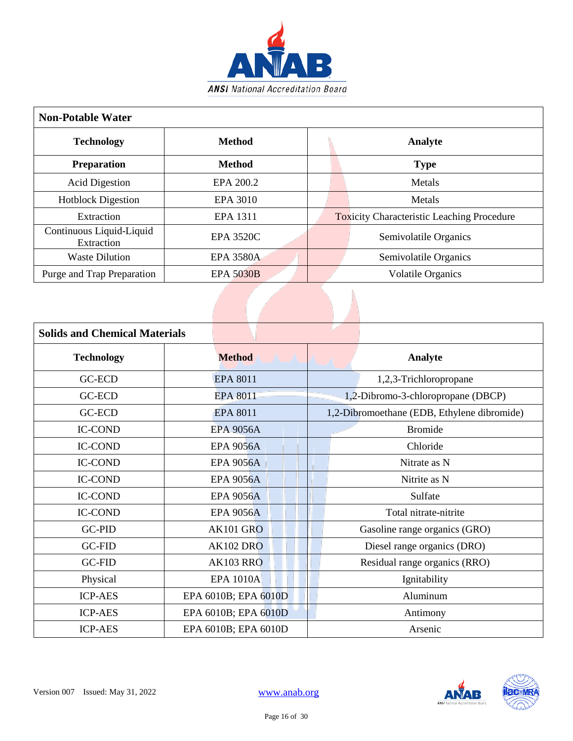

| <b>Non-Potable Water</b>               |                  |         |  |                                                   |  |
|----------------------------------------|------------------|---------|--|---------------------------------------------------|--|
| <b>Method</b><br><b>Technology</b>     |                  | Analyte |  |                                                   |  |
| <b>Preparation</b>                     | <b>Method</b>    |         |  | <b>Type</b>                                       |  |
| <b>Acid Digestion</b>                  | EPA 200.2        |         |  | Metals                                            |  |
| <b>Hotblock Digestion</b>              | EPA 3010         |         |  | Metals                                            |  |
| Extraction                             | EPA 1311         |         |  | <b>Toxicity Characteristic Leaching Procedure</b> |  |
| Continuous Liquid-Liquid<br>Extraction | <b>EPA 3520C</b> |         |  | Semivolatile Organics                             |  |
| <b>Waste Dilution</b>                  | <b>EPA 3580A</b> |         |  | Semivolatile Organics                             |  |
| Purge and Trap Preparation             | <b>EPA 5030B</b> |         |  | <b>Volatile Organics</b>                          |  |

| <b>Solids and Chemical Materials</b> |                      |                                             |
|--------------------------------------|----------------------|---------------------------------------------|
| <b>Technology</b>                    | <b>Method</b>        | Analyte                                     |
| <b>GC-ECD</b>                        | <b>EPA 8011</b>      | 1,2,3-Trichloropropane                      |
| GC-ECD                               | EPA 8011             | 1,2-Dibromo-3-chloropropane (DBCP)          |
| <b>GC-ECD</b>                        | <b>EPA 8011</b>      | 1,2-Dibromoethane (EDB, Ethylene dibromide) |
| <b>IC-COND</b>                       | <b>EPA 9056A</b>     | <b>Bromide</b>                              |
| <b>IC-COND</b>                       | <b>EPA 9056A</b>     | Chloride                                    |
| <b>IC-COND</b>                       | <b>EPA 9056A</b>     | Nitrate as N                                |
| <b>IC-COND</b>                       | <b>EPA 9056A</b>     | Nitrite as N                                |
| <b>IC-COND</b>                       | <b>EPA 9056A</b>     | Sulfate                                     |
| <b>IC-COND</b>                       | <b>EPA 9056A</b>     | Total nitrate-nitrite                       |
| <b>GC-PID</b>                        | <b>AK101 GRO</b>     | Gasoline range organics (GRO)               |
| <b>GC-FID</b>                        | <b>AK102 DRO</b>     | Diesel range organics (DRO)                 |
| <b>GC-FID</b>                        | <b>AK103 RRO</b>     | Residual range organics (RRO)               |
| Physical                             | <b>EPA 1010A</b>     | Ignitability                                |
| <b>ICP-AES</b>                       | EPA 6010B; EPA 6010D | Aluminum                                    |
| <b>ICP-AES</b>                       | EPA 6010B; EPA 6010D | Antimony                                    |
| <b>ICP-AES</b>                       | EPA 6010B; EPA 6010D | Arsenic                                     |

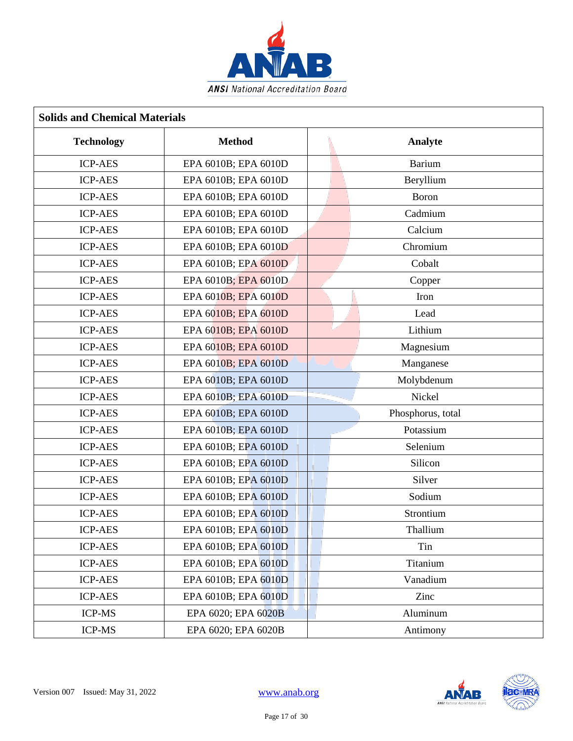

| <b>Solids and Chemical Materials</b> |                      |                   |  |  |
|--------------------------------------|----------------------|-------------------|--|--|
| <b>Technology</b>                    | <b>Method</b>        | Analyte           |  |  |
| <b>ICP-AES</b>                       | EPA 6010B; EPA 6010D | <b>Barium</b>     |  |  |
| <b>ICP-AES</b>                       | EPA 6010B; EPA 6010D | Beryllium         |  |  |
| <b>ICP-AES</b>                       | EPA 6010B; EPA 6010D | Boron             |  |  |
| <b>ICP-AES</b>                       | EPA 6010B; EPA 6010D | Cadmium           |  |  |
| <b>ICP-AES</b>                       | EPA 6010B; EPA 6010D | Calcium           |  |  |
| <b>ICP-AES</b>                       | EPA 6010B; EPA 6010D | Chromium          |  |  |
| <b>ICP-AES</b>                       | EPA 6010B; EPA 6010D | Cobalt            |  |  |
| <b>ICP-AES</b>                       | EPA 6010B; EPA 6010D | Copper            |  |  |
| <b>ICP-AES</b>                       | EPA 6010B; EPA 6010D | Iron              |  |  |
| <b>ICP-AES</b>                       | EPA 6010B; EPA 6010D | Lead              |  |  |
| <b>ICP-AES</b>                       | EPA 6010B; EPA 6010D | Lithium           |  |  |
| <b>ICP-AES</b>                       | EPA 6010B; EPA 6010D | Magnesium         |  |  |
| <b>ICP-AES</b>                       | EPA 6010B; EPA 6010D | Manganese         |  |  |
| <b>ICP-AES</b>                       | EPA 6010B; EPA 6010D | Molybdenum        |  |  |
| <b>ICP-AES</b>                       | EPA 6010B; EPA 6010D | Nickel            |  |  |
| <b>ICP-AES</b>                       | EPA 6010B; EPA 6010D | Phosphorus, total |  |  |
| <b>ICP-AES</b>                       | EPA 6010B; EPA 6010D | Potassium         |  |  |
| <b>ICP-AES</b>                       | EPA 6010B; EPA 6010D | Selenium          |  |  |
| <b>ICP-AES</b>                       | EPA 6010B; EPA 6010D | Silicon           |  |  |
| <b>ICP-AES</b>                       | EPA 6010B; EPA 6010D | Silver            |  |  |
| <b>ICP-AES</b>                       | EPA 6010B; EPA 6010D | Sodium            |  |  |
| <b>ICP-AES</b>                       | EPA 6010B; EPA 6010D | Strontium         |  |  |
| <b>ICP-AES</b>                       | EPA 6010B; EPA 6010D | Thallium          |  |  |
| <b>ICP-AES</b>                       | EPA 6010B; EPA 6010D | Tin               |  |  |
| <b>ICP-AES</b>                       | EPA 6010B; EPA 6010D | Titanium          |  |  |
| <b>ICP-AES</b>                       | EPA 6010B; EPA 6010D | Vanadium          |  |  |
| <b>ICP-AES</b>                       | EPA 6010B; EPA 6010D | Zinc              |  |  |
| <b>ICP-MS</b>                        | EPA 6020; EPA 6020B  | Aluminum          |  |  |
| <b>ICP-MS</b>                        | EPA 6020; EPA 6020B  | Antimony          |  |  |

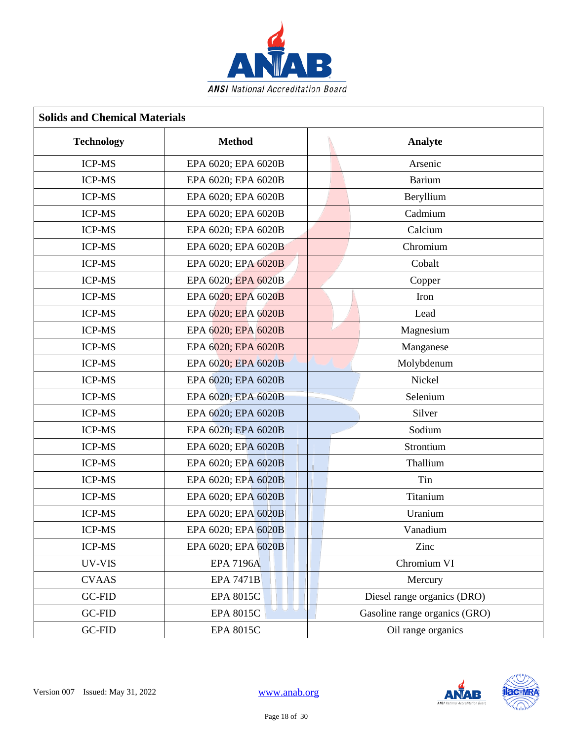

| <b>Solids and Chemical Materials</b> |                            |                               |  |  |
|--------------------------------------|----------------------------|-------------------------------|--|--|
| <b>Technology</b>                    | <b>Method</b>              | Analyte                       |  |  |
| <b>ICP-MS</b>                        | EPA 6020; EPA 6020B        | Arsenic                       |  |  |
| <b>ICP-MS</b>                        | EPA 6020; EPA 6020B        | Barium                        |  |  |
| <b>ICP-MS</b>                        | EPA 6020; EPA 6020B        | Beryllium                     |  |  |
| <b>ICP-MS</b>                        | EPA 6020; EPA 6020B        | Cadmium                       |  |  |
| <b>ICP-MS</b>                        | EPA 6020; EPA 6020B        | Calcium                       |  |  |
| <b>ICP-MS</b>                        | EPA 6020; EPA 6020B        | Chromium                      |  |  |
| <b>ICP-MS</b>                        | EPA 6020; EPA 6020B        | Cobalt                        |  |  |
| <b>ICP-MS</b>                        | EPA 6020; EPA 6020B        | Copper                        |  |  |
| <b>ICP-MS</b>                        | EPA 6020; EPA 6020B        | Iron                          |  |  |
| <b>ICP-MS</b>                        | EPA 6020; EPA 6020B        | Lead                          |  |  |
| <b>ICP-MS</b>                        | EPA 6020; EPA 6020B        | Magnesium                     |  |  |
| <b>ICP-MS</b>                        | EPA 6020; EPA 6020B        | Manganese                     |  |  |
| <b>ICP-MS</b>                        | EPA 6020; EPA 6020B        | Molybdenum                    |  |  |
| <b>ICP-MS</b>                        | EPA 6020; EPA 6020B        | Nickel                        |  |  |
| <b>ICP-MS</b>                        | EPA 6020; EPA 6020B        | Selenium                      |  |  |
| <b>ICP-MS</b>                        | EPA 6020; EPA 6020B        | Silver                        |  |  |
| <b>ICP-MS</b>                        | EPA 6020; EPA 6020B        | Sodium                        |  |  |
| <b>ICP-MS</b>                        | EPA 6020; EPA 6020B        | Strontium                     |  |  |
| <b>ICP-MS</b>                        | EPA 6020; EPA 6020B        | Thallium                      |  |  |
| <b>ICP-MS</b>                        | EPA 6020; EPA 6020B        | Tin                           |  |  |
| <b>ICP-MS</b>                        | EPA 6020; EPA 6020B        | Titanium                      |  |  |
| <b>ICP-MS</b>                        | EPA 6020; EPA 6020B        | Uranium                       |  |  |
| <b>ICP-MS</b>                        | EPA 6020; EPA 6020B        | Vanadium                      |  |  |
| ICP-MS                               | EPA 6020; EPA 6020B        | Zinc                          |  |  |
| UV-VIS                               | <b>EPA 7196A</b>           | Chromium VI                   |  |  |
| <b>CVAAS</b>                         | <b>EPA 7471B</b>           | Mercury                       |  |  |
| <b>GC-FID</b>                        | <b>EPA 8015C</b>           | Diesel range organics (DRO)   |  |  |
| GC-FID                               | ن ان ا<br><b>EPA 8015C</b> | Gasoline range organics (GRO) |  |  |
| <b>GC-FID</b>                        | <b>EPA 8015C</b>           | Oil range organics            |  |  |

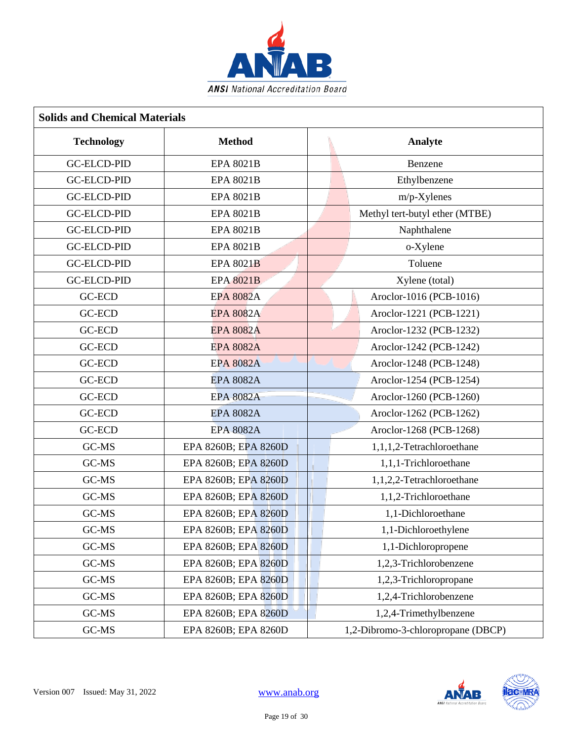

| <b>Solids and Chemical Materials</b> |                      |                                    |  |  |
|--------------------------------------|----------------------|------------------------------------|--|--|
| <b>Technology</b>                    | <b>Method</b>        | Analyte                            |  |  |
| <b>GC-ELCD-PID</b>                   | <b>EPA 8021B</b>     | Benzene                            |  |  |
| <b>GC-ELCD-PID</b>                   | <b>EPA 8021B</b>     | Ethylbenzene                       |  |  |
| <b>GC-ELCD-PID</b>                   | <b>EPA 8021B</b>     | m/p-Xylenes                        |  |  |
| <b>GC-ELCD-PID</b>                   | <b>EPA 8021B</b>     | Methyl tert-butyl ether (MTBE)     |  |  |
| <b>GC-ELCD-PID</b>                   | <b>EPA 8021B</b>     | Naphthalene                        |  |  |
| <b>GC-ELCD-PID</b>                   | <b>EPA 8021B</b>     | o-Xylene                           |  |  |
| <b>GC-ELCD-PID</b>                   | <b>EPA 8021B</b>     | Toluene                            |  |  |
| <b>GC-ELCD-PID</b>                   | <b>EPA 8021B</b>     | Xylene (total)                     |  |  |
| <b>GC-ECD</b>                        | <b>EPA 8082A</b>     | Aroclor-1016 (PCB-1016)            |  |  |
| GC-ECD                               | <b>EPA 8082A</b>     | Aroclor-1221 (PCB-1221)            |  |  |
| <b>GC-ECD</b>                        | <b>EPA 8082A</b>     | Aroclor-1232 (PCB-1232)            |  |  |
| <b>GC-ECD</b>                        | <b>EPA 8082A</b>     | Aroclor-1242 (PCB-1242)            |  |  |
| <b>GC-ECD</b>                        | <b>EPA 8082A</b>     | Aroclor-1248 (PCB-1248)            |  |  |
| GC-ECD                               | <b>EPA 8082A</b>     | Aroclor-1254 (PCB-1254)            |  |  |
| <b>GC-ECD</b>                        | <b>EPA 8082A</b>     | Aroclor-1260 (PCB-1260)            |  |  |
| <b>GC-ECD</b>                        | <b>EPA 8082A</b>     | Aroclor-1262 (PCB-1262)            |  |  |
| <b>GC-ECD</b>                        | <b>EPA 8082A</b>     | Aroclor-1268 (PCB-1268)            |  |  |
| GC-MS                                | EPA 8260B; EPA 8260D | 1,1,1,2-Tetrachloroethane          |  |  |
| GC-MS                                | EPA 8260B; EPA 8260D | 1,1,1-Trichloroethane              |  |  |
| GC-MS                                | EPA 8260B; EPA 8260D | 1,1,2,2-Tetrachloroethane          |  |  |
| GC-MS                                | EPA 8260B; EPA 8260D | 1,1,2-Trichloroethane              |  |  |
| GC-MS                                | EPA 8260B; EPA 8260D | 1,1-Dichloroethane                 |  |  |
| GC-MS                                | EPA 8260B; EPA 8260D | 1,1-Dichloroethylene               |  |  |
| GC-MS                                | EPA 8260B; EPA 8260D | 1,1-Dichloropropene                |  |  |
| GC-MS                                | EPA 8260B; EPA 8260D | 1,2,3-Trichlorobenzene             |  |  |
| GC-MS                                | EPA 8260B; EPA 8260D | 1,2,3-Trichloropropane             |  |  |
| GC-MS                                | EPA 8260B; EPA 8260D | 1,2,4-Trichlorobenzene             |  |  |
| GC-MS                                | EPA 8260B; EPA 8260D | 1,2,4-Trimethylbenzene             |  |  |
| GC-MS                                | EPA 8260B; EPA 8260D | 1,2-Dibromo-3-chloropropane (DBCP) |  |  |

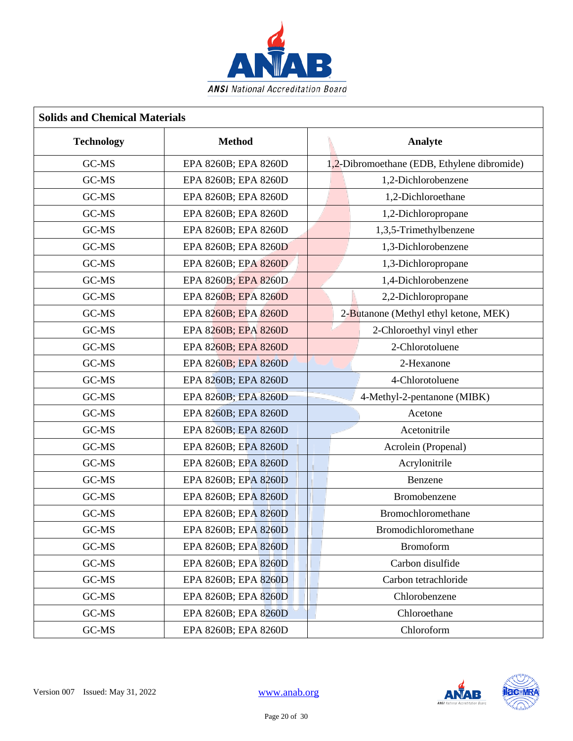

| <b>Solids and Chemical Materials</b> |                      |                                             |  |  |
|--------------------------------------|----------------------|---------------------------------------------|--|--|
| <b>Technology</b>                    | <b>Method</b>        | Analyte                                     |  |  |
| GC-MS                                | EPA 8260B; EPA 8260D | 1,2-Dibromoethane (EDB, Ethylene dibromide) |  |  |
| GC-MS                                | EPA 8260B; EPA 8260D | 1,2-Dichlorobenzene                         |  |  |
| GC-MS                                | EPA 8260B; EPA 8260D | 1,2-Dichloroethane                          |  |  |
| GC-MS                                | EPA 8260B; EPA 8260D | 1,2-Dichloropropane                         |  |  |
| GC-MS                                | EPA 8260B; EPA 8260D | 1,3,5-Trimethylbenzene                      |  |  |
| GC-MS                                | EPA 8260B; EPA 8260D | 1,3-Dichlorobenzene                         |  |  |
| GC-MS                                | EPA 8260B; EPA 8260D | 1,3-Dichloropropane                         |  |  |
| GC-MS                                | EPA 8260B; EPA 8260D | 1,4-Dichlorobenzene                         |  |  |
| GC-MS                                | EPA 8260B; EPA 8260D | 2,2-Dichloropropane                         |  |  |
| GC-MS                                | EPA 8260B; EPA 8260D | 2-Butanone (Methyl ethyl ketone, MEK)       |  |  |
| GC-MS                                | EPA 8260B; EPA 8260D | 2-Chloroethyl vinyl ether                   |  |  |
| GC-MS                                | EPA 8260B; EPA 8260D | 2-Chlorotoluene                             |  |  |
| GC-MS                                | EPA 8260B; EPA 8260D | 2-Hexanone                                  |  |  |
| GC-MS                                | EPA 8260B; EPA 8260D | 4-Chlorotoluene                             |  |  |
| GC-MS                                | EPA 8260B; EPA 8260D | 4-Methyl-2-pentanone (MIBK)                 |  |  |
| GC-MS                                | EPA 8260B; EPA 8260D | Acetone                                     |  |  |
| GC-MS                                | EPA 8260B; EPA 8260D | Acetonitrile                                |  |  |
| GC-MS                                | EPA 8260B; EPA 8260D | Acrolein (Propenal)                         |  |  |
| GC-MS                                | EPA 8260B; EPA 8260D | Acrylonitrile                               |  |  |
| GC-MS                                | EPA 8260B; EPA 8260D | Benzene                                     |  |  |
| GC-MS                                | EPA 8260B; EPA 8260D | Bromobenzene                                |  |  |
| GC-MS                                | EPA 8260B; EPA 8260D | Bromochloromethane                          |  |  |
| GC-MS                                | EPA 8260B; EPA 8260D | <b>Bromodichloromethane</b>                 |  |  |
| GC-MS                                | EPA 8260B; EPA 8260D | <b>Bromoform</b>                            |  |  |
| GC-MS                                | EPA 8260B; EPA 8260D | Carbon disulfide                            |  |  |
| GC-MS                                | EPA 8260B; EPA 8260D | Carbon tetrachloride                        |  |  |
| GC-MS                                | EPA 8260B; EPA 8260D | Chlorobenzene                               |  |  |
| GC-MS                                | EPA 8260B; EPA 8260D | Chloroethane                                |  |  |
| GC-MS                                | EPA 8260B; EPA 8260D | Chloroform                                  |  |  |

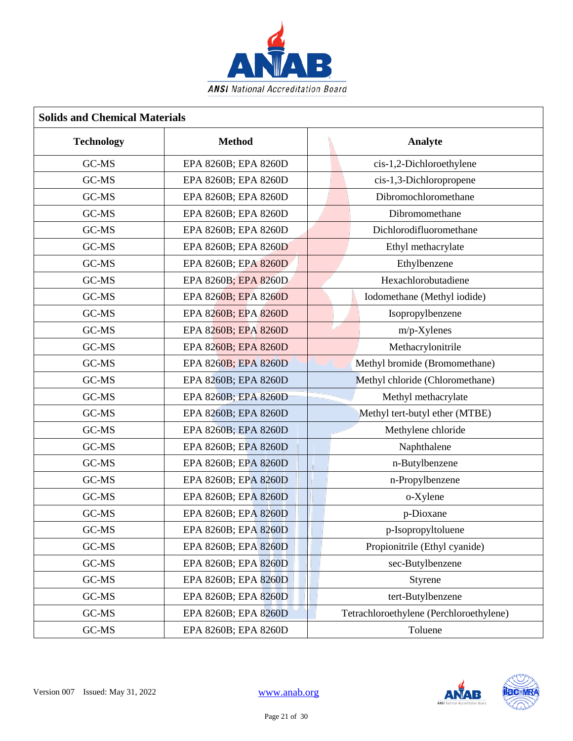

| <b>Solids and Chemical Materials</b> |                      |                                         |  |  |
|--------------------------------------|----------------------|-----------------------------------------|--|--|
| <b>Technology</b>                    | <b>Method</b>        | Analyte                                 |  |  |
| GC-MS                                | EPA 8260B; EPA 8260D | cis-1,2-Dichloroethylene                |  |  |
| GC-MS                                | EPA 8260B; EPA 8260D | cis-1,3-Dichloropropene                 |  |  |
| GC-MS                                | EPA 8260B; EPA 8260D | Dibromochloromethane                    |  |  |
| GC-MS                                | EPA 8260B; EPA 8260D | Dibromomethane                          |  |  |
| GC-MS                                | EPA 8260B; EPA 8260D | Dichlorodifluoromethane                 |  |  |
| GC-MS                                | EPA 8260B; EPA 8260D | Ethyl methacrylate                      |  |  |
| GC-MS                                | EPA 8260B; EPA 8260D | Ethylbenzene                            |  |  |
| GC-MS                                | EPA 8260B; EPA 8260D | Hexachlorobutadiene                     |  |  |
| GC-MS                                | EPA 8260B; EPA 8260D | Iodomethane (Methyl iodide)             |  |  |
| GC-MS                                | EPA 8260B; EPA 8260D | Isopropylbenzene                        |  |  |
| GC-MS                                | EPA 8260B; EPA 8260D | m/p-Xylenes                             |  |  |
| GC-MS                                | EPA 8260B; EPA 8260D | Methacrylonitrile                       |  |  |
| GC-MS                                | EPA 8260B; EPA 8260D | Methyl bromide (Bromomethane)           |  |  |
| GC-MS                                | EPA 8260B; EPA 8260D | Methyl chloride (Chloromethane)         |  |  |
| GC-MS                                | EPA 8260B; EPA 8260D | Methyl methacrylate                     |  |  |
| GC-MS                                | EPA 8260B; EPA 8260D | Methyl tert-butyl ether (MTBE)          |  |  |
| GC-MS                                | EPA 8260B; EPA 8260D | Methylene chloride                      |  |  |
| GC-MS                                | EPA 8260B; EPA 8260D | Naphthalene                             |  |  |
| GC-MS                                | EPA 8260B; EPA 8260D | n-Butylbenzene                          |  |  |
| GC-MS                                | EPA 8260B; EPA 8260D | n-Propylbenzene                         |  |  |
| GC-MS                                | EPA 8260B; EPA 8260D | o-Xylene                                |  |  |
| GC-MS                                | EPA 8260B; EPA 8260D | p-Dioxane                               |  |  |
| GC-MS                                | EPA 8260B; EPA 8260D | p-Isopropyltoluene                      |  |  |
| GC-MS                                | EPA 8260B; EPA 8260D | Propionitrile (Ethyl cyanide)           |  |  |
| GC-MS                                | EPA 8260B; EPA 8260D | sec-Butylbenzene                        |  |  |
| GC-MS                                | EPA 8260B; EPA 8260D | Styrene                                 |  |  |
| GC-MS                                | EPA 8260B; EPA 8260D | tert-Butylbenzene                       |  |  |
| GC-MS                                | EPA 8260B; EPA 8260D | Tetrachloroethylene (Perchloroethylene) |  |  |
| GC-MS                                | EPA 8260B; EPA 8260D | Toluene                                 |  |  |

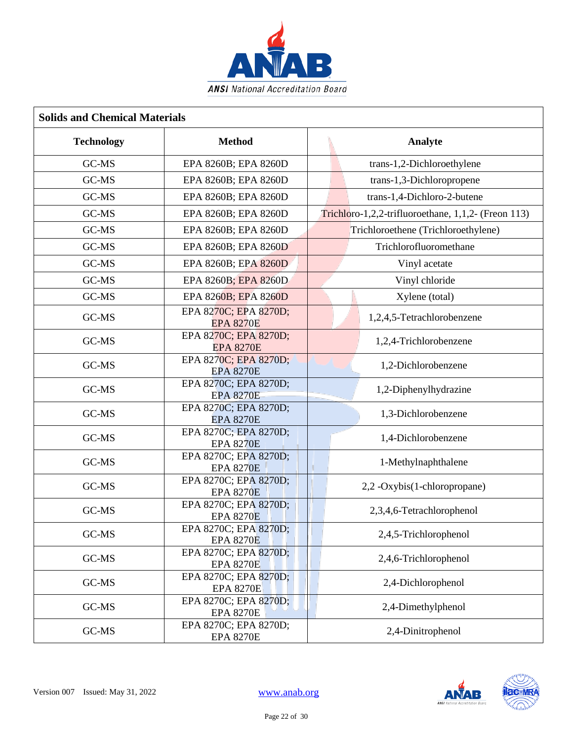

| <b>Solids and Chemical Materials</b> |                                           |                                                     |  |  |
|--------------------------------------|-------------------------------------------|-----------------------------------------------------|--|--|
| <b>Technology</b>                    | <b>Method</b>                             | Analyte                                             |  |  |
| GC-MS                                | EPA 8260B; EPA 8260D                      | trans-1,2-Dichloroethylene                          |  |  |
| GC-MS                                | EPA 8260B; EPA 8260D                      | trans-1,3-Dichloropropene                           |  |  |
| GC-MS                                | EPA 8260B; EPA 8260D                      | trans-1,4-Dichloro-2-butene                         |  |  |
| GC-MS                                | EPA 8260B; EPA 8260D                      | Trichloro-1,2,2-trifluoroethane, 1,1,2- (Freon 113) |  |  |
| GC-MS                                | EPA 8260B; EPA 8260D                      | Trichloroethene (Trichloroethylene)                 |  |  |
| GC-MS                                | EPA 8260B; EPA 8260D                      | Trichlorofluoromethane                              |  |  |
| GC-MS                                | EPA 8260B; EPA 8260D                      | Vinyl acetate                                       |  |  |
| GC-MS                                | EPA 8260B; EPA 8260D                      | Vinyl chloride                                      |  |  |
| GC-MS                                | EPA 8260B; EPA 8260D                      | Xylene (total)                                      |  |  |
| GC-MS                                | EPA 8270C; EPA 8270D;<br><b>EPA 8270E</b> | 1,2,4,5-Tetrachlorobenzene                          |  |  |
| GC-MS                                | EPA 8270C; EPA 8270D;<br><b>EPA 8270E</b> | 1,2,4-Trichlorobenzene                              |  |  |
| GC-MS                                | EPA 8270C; EPA 8270D;<br><b>EPA 8270E</b> | 1,2-Dichlorobenzene                                 |  |  |
| GC-MS                                | EPA 8270C; EPA 8270D;<br><b>EPA 8270E</b> | 1,2-Diphenylhydrazine                               |  |  |
| GC-MS                                | EPA 8270C; EPA 8270D;<br><b>EPA 8270E</b> | 1,3-Dichlorobenzene                                 |  |  |
| GC-MS                                | EPA 8270C; EPA 8270D;<br><b>EPA 8270E</b> | 1,4-Dichlorobenzene                                 |  |  |
| GC-MS                                | EPA 8270C; EPA 8270D;<br><b>EPA 8270E</b> | 1-Methylnaphthalene                                 |  |  |
| GC-MS                                | EPA 8270C; EPA 8270D;<br><b>EPA 8270E</b> | 2,2 -Oxybis(1-chloropropane)                        |  |  |
| GC-MS                                | EPA 8270C; EPA 8270D;<br><b>EPA 8270E</b> | 2,3,4,6-Tetrachlorophenol                           |  |  |
| GC-MS                                | EPA 8270C; EPA 8270D;<br><b>EPA 8270E</b> | 2,4,5-Trichlorophenol                               |  |  |
| GC-MS                                | EPA 8270C; EPA 8270D;<br><b>EPA 8270E</b> | 2,4,6-Trichlorophenol                               |  |  |
| GC-MS                                | EPA 8270C; EPA 8270D;<br><b>EPA 8270E</b> | 2,4-Dichlorophenol                                  |  |  |
| GC-MS                                | EPA 8270C; EPA 8270D;<br><b>EPA 8270E</b> | 2,4-Dimethylphenol                                  |  |  |
| GC-MS                                | EPA 8270C; EPA 8270D;<br><b>EPA 8270E</b> | 2,4-Dinitrophenol                                   |  |  |

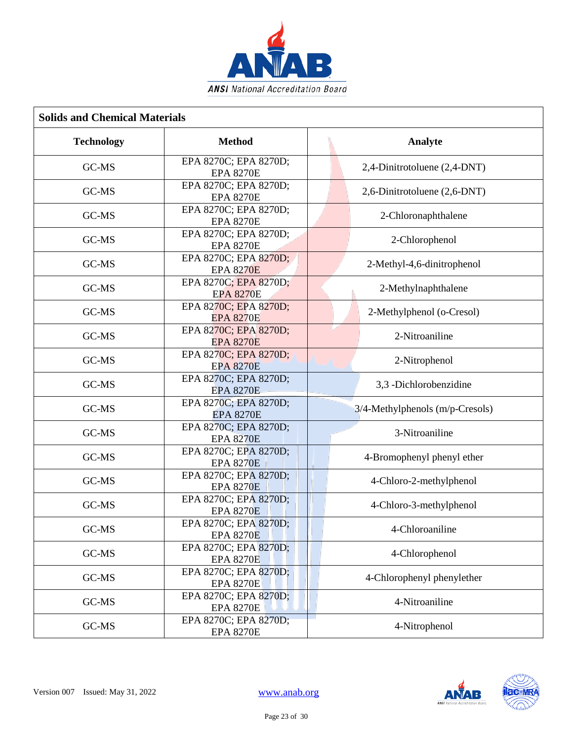

| <b>Solids and Chemical Materials</b> |                                           |  |                                 |  |
|--------------------------------------|-------------------------------------------|--|---------------------------------|--|
| <b>Technology</b>                    | <b>Method</b>                             |  | Analyte                         |  |
| GC-MS                                | EPA 8270C; EPA 8270D;<br><b>EPA 8270E</b> |  | 2,4-Dinitrotoluene (2,4-DNT)    |  |
| GC-MS                                | EPA 8270C; EPA 8270D;<br><b>EPA 8270E</b> |  | 2,6-Dinitrotoluene (2,6-DNT)    |  |
| GC-MS                                | EPA 8270C; EPA 8270D;<br><b>EPA 8270E</b> |  | 2-Chloronaphthalene             |  |
| GC-MS                                | EPA 8270C; EPA 8270D;<br><b>EPA 8270E</b> |  | 2-Chlorophenol                  |  |
| GC-MS                                | EPA 8270C; EPA 8270D;<br><b>EPA 8270E</b> |  | 2-Methyl-4,6-dinitrophenol      |  |
| GC-MS                                | EPA 8270C; EPA 8270D;<br><b>EPA 8270E</b> |  | 2-Methylnaphthalene             |  |
| GC-MS                                | EPA 8270C; EPA 8270D;<br><b>EPA 8270E</b> |  | 2-Methylphenol (o-Cresol)       |  |
| GC-MS                                | EPA 8270C; EPA 8270D;<br><b>EPA 8270E</b> |  | 2-Nitroaniline                  |  |
| GC-MS                                | EPA 8270C; EPA 8270D;<br><b>EPA 8270E</b> |  | 2-Nitrophenol                   |  |
| GC-MS                                | EPA 8270C; EPA 8270D;<br><b>EPA 8270E</b> |  | 3,3 -Dichlorobenzidine          |  |
| GC-MS                                | EPA 8270C; EPA 8270D;<br><b>EPA 8270E</b> |  | 3/4-Methylphenols (m/p-Cresols) |  |
| GC-MS                                | EPA 8270C; EPA 8270D;<br><b>EPA 8270E</b> |  | 3-Nitroaniline                  |  |
| GC-MS                                | EPA 8270C; EPA 8270D;<br><b>EPA 8270E</b> |  | 4-Bromophenyl phenyl ether      |  |
| GC-MS                                | EPA 8270C; EPA 8270D;<br><b>EPA 8270E</b> |  | 4-Chloro-2-methylphenol         |  |
| GC-MS                                | EPA 8270C; EPA 8270D;<br><b>EPA 8270E</b> |  | 4-Chloro-3-methylphenol         |  |
| GC-MS                                | EPA 8270C; EPA 8270D;<br><b>EPA 8270E</b> |  | 4-Chloroaniline                 |  |
| GC-MS                                | EPA 8270C; EPA 8270D;<br><b>EPA 8270E</b> |  | 4-Chlorophenol                  |  |
| GC-MS                                | EPA 8270C; EPA 8270D;<br><b>EPA 8270E</b> |  | 4-Chlorophenyl phenylether      |  |
| GC-MS                                | EPA 8270C; EPA 8270D;<br><b>EPA 8270E</b> |  | 4-Nitroaniline                  |  |
| GC-MS                                | EPA 8270C; EPA 8270D;<br><b>EPA 8270E</b> |  | 4-Nitrophenol                   |  |

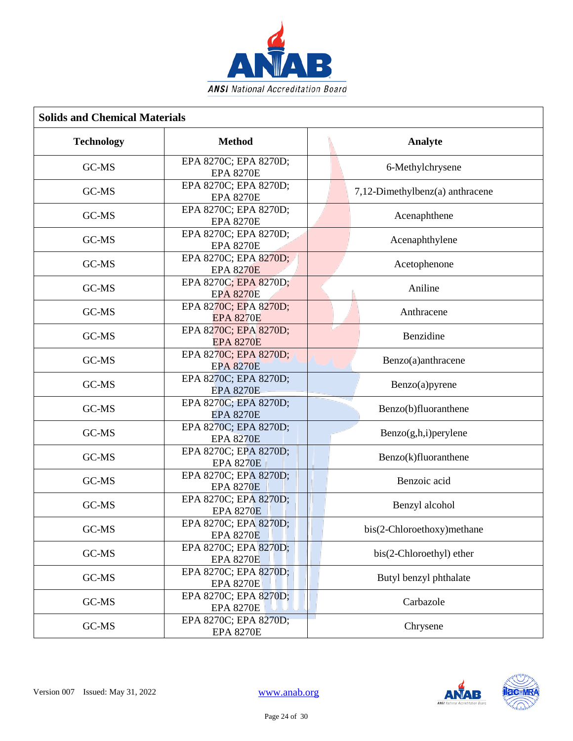

| <b>Solids and Chemical Materials</b> |                                           |                                 |  |
|--------------------------------------|-------------------------------------------|---------------------------------|--|
| <b>Technology</b>                    | <b>Method</b>                             | Analyte                         |  |
| GC-MS                                | EPA 8270C; EPA 8270D;<br><b>EPA 8270E</b> | 6-Methylchrysene                |  |
| GC-MS                                | EPA 8270C; EPA 8270D;<br><b>EPA 8270E</b> | 7,12-Dimethylbenz(a) anthracene |  |
| GC-MS                                | EPA 8270C; EPA 8270D;<br><b>EPA 8270E</b> | Acenaphthene                    |  |
| GC-MS                                | EPA 8270C; EPA 8270D;<br><b>EPA 8270E</b> | Acenaphthylene                  |  |
| GC-MS                                | EPA 8270C; EPA 8270D;<br><b>EPA 8270E</b> | Acetophenone                    |  |
| GC-MS                                | EPA 8270C; EPA 8270D;<br><b>EPA 8270E</b> | Aniline                         |  |
| GC-MS                                | EPA 8270C; EPA 8270D;<br><b>EPA 8270E</b> | Anthracene                      |  |
| GC-MS                                | EPA 8270C; EPA 8270D;<br><b>EPA 8270E</b> | Benzidine                       |  |
| GC-MS                                | EPA 8270C; EPA 8270D;<br><b>EPA 8270E</b> | Benzo(a)anthracene              |  |
| GC-MS                                | EPA 8270C; EPA 8270D;<br><b>EPA 8270E</b> | Benzo(a)pyrene                  |  |
| GC-MS                                | EPA 8270C; EPA 8270D;<br><b>EPA 8270E</b> | Benzo(b)fluoranthene            |  |
| GC-MS                                | EPA 8270C; EPA 8270D;<br><b>EPA 8270E</b> | Benzo(g,h,i)perylene            |  |
| GC-MS                                | EPA 8270C; EPA 8270D;<br><b>EPA 8270E</b> | Benzo(k)fluoranthene            |  |
| GC-MS                                | EPA 8270C; EPA 8270D;<br><b>EPA 8270E</b> | Benzoic acid                    |  |
| GC-MS                                | EPA 8270C; EPA 8270D;<br><b>EPA 8270E</b> | Benzyl alcohol                  |  |
| GC-MS                                | EPA 8270C: EPA 8270D:<br><b>EPA 8270E</b> | bis(2-Chloroethoxy) methane     |  |
| GC-MS                                | EPA 8270C; EPA 8270D;<br><b>EPA 8270E</b> | bis(2-Chloroethyl) ether        |  |
| GC-MS                                | EPA 8270C; EPA 8270D;<br><b>EPA 8270E</b> | Butyl benzyl phthalate          |  |
| GC-MS                                | EPA 8270C; EPA 8270D;<br><b>EPA 8270E</b> | Carbazole                       |  |
| GC-MS                                | EPA 8270C; EPA 8270D;<br><b>EPA 8270E</b> | Chrysene                        |  |

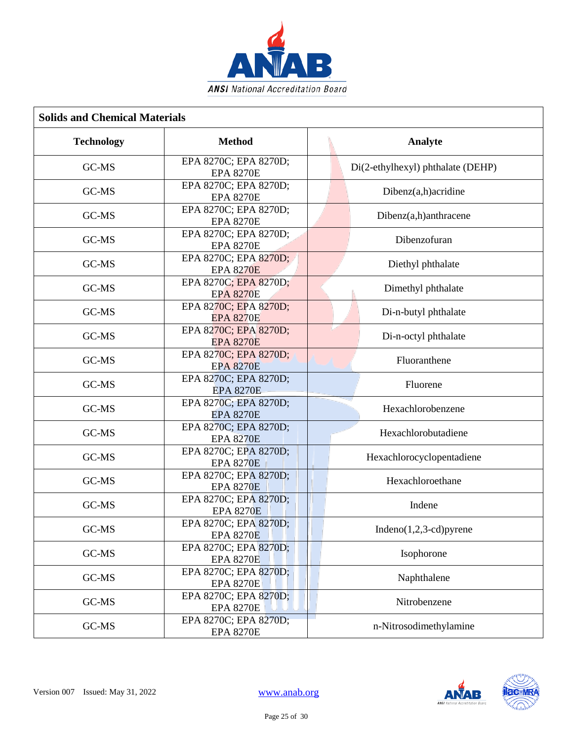

| <b>Solids and Chemical Materials</b> |                                           |                                   |  |
|--------------------------------------|-------------------------------------------|-----------------------------------|--|
| <b>Technology</b>                    | <b>Method</b>                             | Analyte                           |  |
| GC-MS                                | EPA 8270C; EPA 8270D;<br><b>EPA 8270E</b> | Di(2-ethylhexyl) phthalate (DEHP) |  |
| GC-MS                                | EPA 8270C; EPA 8270D;<br><b>EPA 8270E</b> | Dibenz(a,h)acridine               |  |
| GC-MS                                | EPA 8270C; EPA 8270D;<br><b>EPA 8270E</b> | Dibenz(a,h)anthracene             |  |
| GC-MS                                | EPA 8270C; EPA 8270D;<br><b>EPA 8270E</b> | Dibenzofuran                      |  |
| GC-MS                                | EPA 8270C; EPA 8270D;<br><b>EPA 8270E</b> | Diethyl phthalate                 |  |
| GC-MS                                | EPA 8270C; EPA 8270D;<br><b>EPA 8270E</b> | Dimethyl phthalate                |  |
| GC-MS                                | EPA 8270C; EPA 8270D;<br><b>EPA 8270E</b> | Di-n-butyl phthalate              |  |
| GC-MS                                | EPA 8270C; EPA 8270D;<br><b>EPA 8270E</b> | Di-n-octyl phthalate              |  |
| GC-MS                                | EPA 8270C; EPA 8270D;<br><b>EPA 8270E</b> | Fluoranthene                      |  |
| GC-MS                                | EPA 8270C; EPA 8270D;<br><b>EPA 8270E</b> | Fluorene                          |  |
| GC-MS                                | EPA 8270C; EPA 8270D;<br><b>EPA 8270E</b> | Hexachlorobenzene                 |  |
| GC-MS                                | EPA 8270C; EPA 8270D;<br><b>EPA 8270E</b> | Hexachlorobutadiene               |  |
| GC-MS                                | EPA 8270C; EPA 8270D;<br><b>EPA 8270E</b> | Hexachlorocyclopentadiene         |  |
| GC-MS                                | EPA 8270C; EPA 8270D;<br><b>EPA 8270E</b> | Hexachloroethane                  |  |
| GC-MS                                | EPA 8270C; EPA 8270D;<br><b>EPA 8270E</b> | Indene                            |  |
| GC-MS                                | EPA 8270C; EPA 8270D;<br><b>EPA 8270E</b> | Indeno $(1,2,3$ -cd) pyrene       |  |
| GC-MS                                | EPA 8270C; EPA 8270D;<br><b>EPA 8270E</b> | Isophorone                        |  |
| GC-MS                                | EPA 8270C; EPA 8270D;<br><b>EPA 8270E</b> | Naphthalene                       |  |
| GC-MS                                | EPA 8270C; EPA 8270D;<br><b>EPA 8270E</b> | Nitrobenzene                      |  |
| GC-MS                                | EPA 8270C; EPA 8270D;<br><b>EPA 8270E</b> | n-Nitrosodimethylamine            |  |

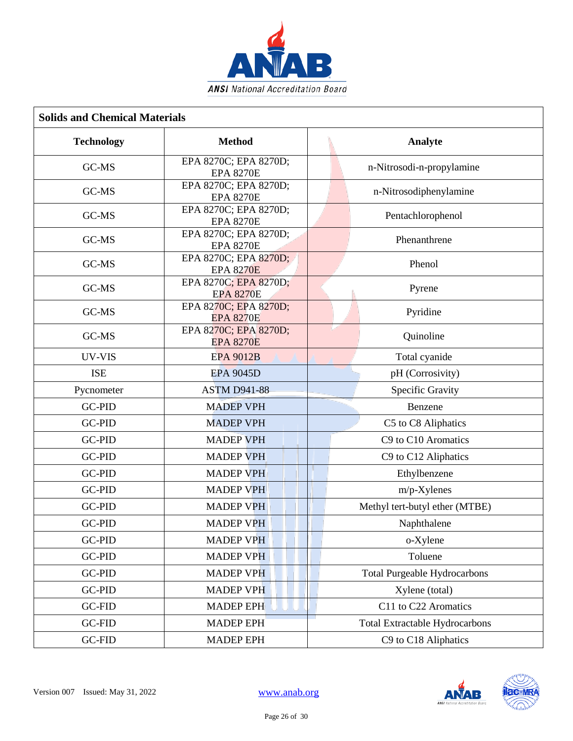

| <b>Solids and Chemical Materials</b> |                                           |                                       |  |
|--------------------------------------|-------------------------------------------|---------------------------------------|--|
| <b>Technology</b>                    | <b>Method</b>                             | Analyte                               |  |
| GC-MS                                | EPA 8270C; EPA 8270D;<br><b>EPA 8270E</b> | n-Nitrosodi-n-propylamine             |  |
| GC-MS                                | EPA 8270C; EPA 8270D;<br><b>EPA 8270E</b> | n-Nitrosodiphenylamine                |  |
| GC-MS                                | EPA 8270C; EPA 8270D;<br><b>EPA 8270E</b> | Pentachlorophenol                     |  |
| GC-MS                                | EPA 8270C; EPA 8270D;<br><b>EPA 8270E</b> | Phenanthrene                          |  |
| GC-MS                                | EPA 8270C; EPA 8270D;<br><b>EPA 8270E</b> | Phenol                                |  |
| GC-MS                                | EPA 8270C; EPA 8270D;<br><b>EPA 8270E</b> | Pyrene                                |  |
| GC-MS                                | EPA 8270C; EPA 8270D;<br><b>EPA 8270E</b> | Pyridine                              |  |
| GC-MS                                | EPA 8270C; EPA 8270D;<br><b>EPA 8270E</b> | Quinoline                             |  |
| UV-VIS                               | <b>EPA 9012B</b>                          | Total cyanide                         |  |
| <b>ISE</b>                           | <b>EPA 9045D</b>                          | pH (Corrosivity)                      |  |
| Pycnometer                           | <b>ASTM D941-88</b>                       | Specific Gravity                      |  |
| <b>GC-PID</b>                        | <b>MADEP VPH</b>                          | Benzene                               |  |
| <b>GC-PID</b>                        | <b>MADEP VPH</b>                          | C5 to C8 Aliphatics                   |  |
| <b>GC-PID</b>                        | <b>MADEP VPH</b>                          | C9 to C10 Aromatics                   |  |
| <b>GC-PID</b>                        | <b>MADEP VPH</b>                          | C9 to C12 Aliphatics                  |  |
| <b>GC-PID</b>                        | <b>MADEP VPH</b>                          | Ethylbenzene                          |  |
| <b>GC-PID</b>                        | <b>MADEP VPH</b>                          | $m/p$ -Xylenes                        |  |
| <b>GC-PID</b>                        | <b>MADEP VPH</b>                          | Methyl tert-butyl ether (MTBE)        |  |
| GC-PID                               | <b>MADEP VPH</b>                          | Naphthalene                           |  |
| GC-PID                               | <b>MADEP VPH</b>                          | o-Xylene                              |  |
| GC-PID                               | <b>MADEP VPH</b>                          | Toluene                               |  |
| GC-PID                               | <b>MADEP VPH</b>                          | <b>Total Purgeable Hydrocarbons</b>   |  |
| GC-PID                               | <b>MADEP VPH</b>                          | Xylene (total)                        |  |
| <b>GC-FID</b>                        | <b>MADEP EPH</b>                          | C11 to C22 Aromatics                  |  |
| <b>GC-FID</b>                        | <b>MADEP EPH</b>                          | <b>Total Extractable Hydrocarbons</b> |  |
| GC-FID                               | <b>MADEP EPH</b>                          | C9 to C18 Aliphatics                  |  |

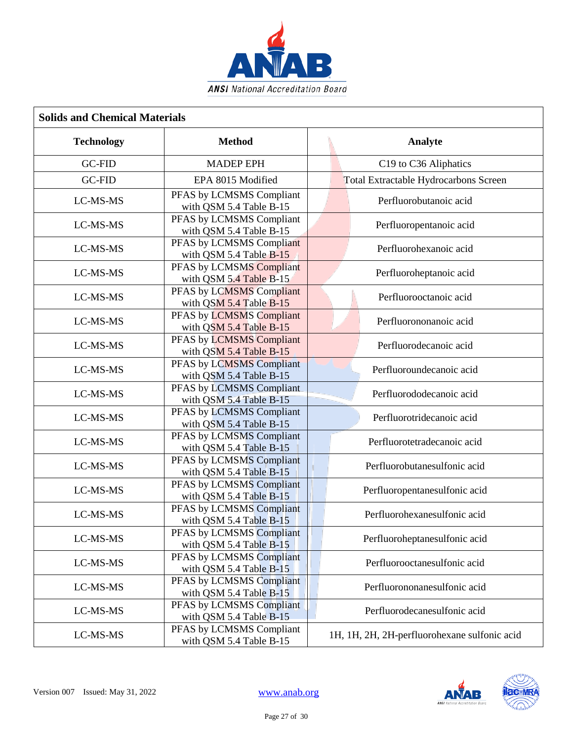

| <b>Solids and Chemical Materials</b> |                                                         |  |                                              |
|--------------------------------------|---------------------------------------------------------|--|----------------------------------------------|
| <b>Technology</b>                    | <b>Method</b>                                           |  | Analyte                                      |
| <b>GC-FID</b>                        | <b>MADEP EPH</b>                                        |  | C19 to C36 Aliphatics                        |
| <b>GC-FID</b>                        | EPA 8015 Modified                                       |  | Total Extractable Hydrocarbons Screen        |
| LC-MS-MS                             | PFAS by LCMSMS Compliant<br>with QSM 5.4 Table B-15     |  | Perfluorobutanoic acid                       |
| LC-MS-MS                             | PFAS by LCMSMS Compliant<br>with QSM 5.4 Table B-15     |  | Perfluoropentanoic acid                      |
| LC-MS-MS                             | PFAS by LCMSMS Compliant<br>with QSM 5.4 Table B-15     |  | Perfluorohexanoic acid                       |
| LC-MS-MS                             | PFAS by LCMSMS Compliant<br>with QSM 5.4 Table B-15     |  | Perfluoroheptanoic acid                      |
| LC-MS-MS                             | PFAS by LCMSMS Compliant<br>with QSM 5.4 Table B-15     |  | Perfluorooctanoic acid                       |
| LC-MS-MS                             | PFAS by LCMSMS Compliant<br>with QSM 5.4 Table B-15     |  | Perfluorononanoic acid                       |
| LC-MS-MS                             | PFAS by LCMSMS Compliant<br>with QSM 5.4 Table B-15     |  | Perfluorodecanoic acid                       |
| LC-MS-MS                             | PFAS by LCMSMS Compliant<br>with QSM 5.4 Table B-15     |  | Perfluoroundecanoic acid                     |
| LC-MS-MS                             | PFAS by LCMSMS Compliant<br>with QSM 5.4 Table B-15     |  | Perfluorododecanoic acid                     |
| LC-MS-MS                             | PFAS by LCMSMS Compliant<br>with QSM 5.4 Table B-15     |  | Perfluorotridecanoic acid                    |
| LC-MS-MS                             | PFAS by LCMSMS Compliant<br>with QSM 5.4 Table B-15     |  | Perfluorotetradecanoic acid                  |
| LC-MS-MS                             | PFAS by LCMSMS Compliant<br>with QSM 5.4 Table B-15     |  | Perfluorobutanesulfonic acid                 |
| LC-MS-MS                             | PFAS by LCMSMS Compliant<br>with QSM 5.4 Table B-15     |  | Perfluoropentanesulfonic acid                |
| LC-MS-MS                             | PFAS by LCMSMS Compliant<br>with QSM 5.4 Table B-15     |  | Perfluorohexanesulfonic acid                 |
| LC-MS-MS                             | PFAS by LCMSMS Compliant<br>with QSM 5.4 Table B-15     |  | Perfluoroheptanesulfonic acid                |
| LC-MS-MS                             | PFAS by LCMSMS Compliant<br>with QSM 5.4 Table B-15     |  | Perfluorooctanesulfonic acid                 |
| LC-MS-MS                             | PFAS by LCMSMS Compliant<br>with QSM 5.4 Table $B_1$ 15 |  | Perfluorononanesulfonic acid                 |
| LC-MS-MS                             | PFAS by LCMSMS Compliant<br>with QSM 5.4 Table B-15     |  | Perfluorodecanesulfonic acid                 |
| LC-MS-MS                             | PFAS by LCMSMS Compliant<br>with QSM 5.4 Table B-15     |  | 1H, 1H, 2H, 2H-perfluorohexane sulfonic acid |

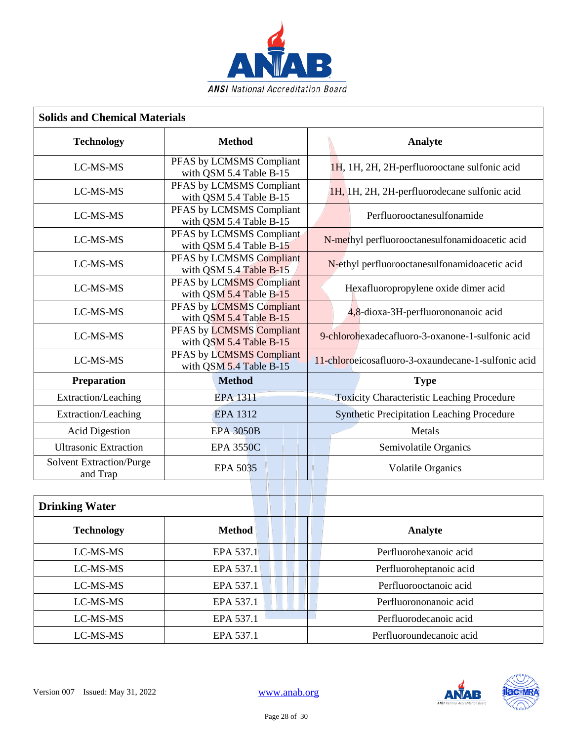

| <b>Solids and Chemical Materials</b>        |                                                     |                                                     |  |
|---------------------------------------------|-----------------------------------------------------|-----------------------------------------------------|--|
| <b>Technology</b>                           | <b>Method</b>                                       | Analyte                                             |  |
| LC-MS-MS                                    | PFAS by LCMSMS Compliant<br>with QSM 5.4 Table B-15 | 1H, 1H, 2H, 2H-perfluorooctane sulfonic acid        |  |
| LC-MS-MS                                    | PFAS by LCMSMS Compliant<br>with QSM 5.4 Table B-15 | 1H, 1H, 2H, 2H-perfluorodecane sulfonic acid        |  |
| LC-MS-MS                                    | PFAS by LCMSMS Compliant<br>with QSM 5.4 Table B-15 | Perfluorooctanesulfonamide                          |  |
| LC-MS-MS                                    | PFAS by LCMSMS Compliant<br>with QSM 5.4 Table B-15 | N-methyl perfluorooctanesulfonamidoacetic acid      |  |
| LC-MS-MS                                    | PFAS by LCMSMS Compliant<br>with QSM 5.4 Table B-15 | N-ethyl perfluorooctanesulfonamidoacetic acid       |  |
| LC-MS-MS                                    | PFAS by LCMSMS Compliant<br>with QSM 5.4 Table B-15 | Hexafluoropropylene oxide dimer acid                |  |
| LC-MS-MS                                    | PFAS by LCMSMS Compliant<br>with QSM 5.4 Table B-15 | 4,8-dioxa-3H-perfluorononanoic acid                 |  |
| LC-MS-MS                                    | PFAS by LCMSMS Compliant<br>with QSM 5.4 Table B-15 | 9-chlorohexadecafluoro-3-oxanone-1-sulfonic acid    |  |
| LC-MS-MS                                    | PFAS by LCMSMS Compliant<br>with QSM 5.4 Table B-15 | 11-chloroeicosafluoro-3-oxaundecane-1-sulfonic acid |  |
| Preparation                                 | <b>Method</b>                                       | <b>Type</b>                                         |  |
| Extraction/Leaching                         | EPA-1311                                            | <b>Toxicity Characteristic Leaching Procedure</b>   |  |
| Extraction/Leaching                         | <b>EPA 1312</b>                                     | <b>Synthetic Precipitation Leaching Procedure</b>   |  |
| <b>Acid Digestion</b>                       | <b>EPA-3050B</b>                                    | Metals                                              |  |
| <b>Ultrasonic Extraction</b>                | <b>EPA 3550C</b>                                    | Semivolatile Organics                               |  |
| <b>Solvent Extraction/Purge</b><br>and Trap | EPA 5035                                            | <b>Volatile Organics</b>                            |  |
|                                             |                                                     |                                                     |  |
| <b>Drinking Water</b>                       |                                                     |                                                     |  |
| <b>Technology</b>                           | <b>Method</b>                                       | Analyte                                             |  |
| LC-MS-MS                                    | EPA 537.1                                           | Perfluorohexanoic acid                              |  |
| LC-MS-MS                                    | EPA 537.1                                           | Perfluoroheptanoic acid                             |  |
| LC-MS-MS                                    | EPA 537.1                                           | Perfluorooctanoic acid                              |  |
| LC-MS-MS                                    | EPA 537.1                                           | Perfluorononanoic acid                              |  |
| LC-MS-MS                                    | EPA 537.1                                           | Perfluorodecanoic acid                              |  |
| LC-MS-MS                                    | EPA 537.1                                           | Perfluoroundecanoic acid                            |  |

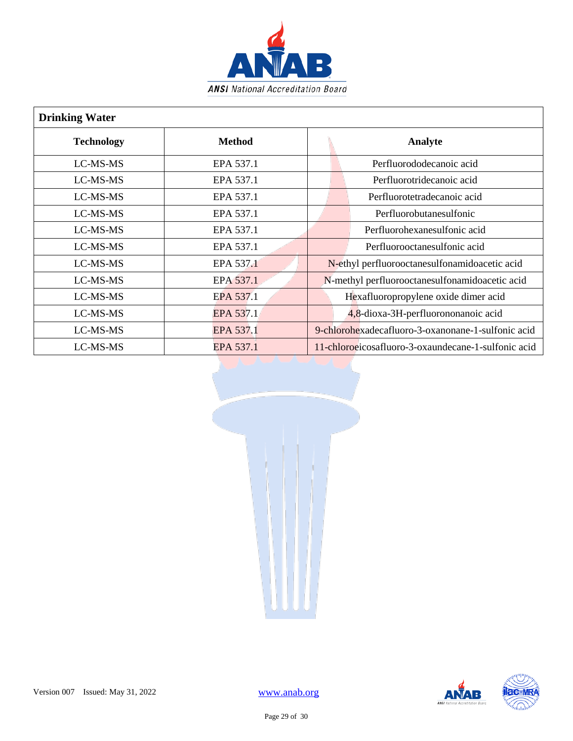

| <b>Drinking Water</b> |               |                                                     |  |
|-----------------------|---------------|-----------------------------------------------------|--|
| <b>Technology</b>     | <b>Method</b> | Analyte                                             |  |
| LC-MS-MS              | EPA 537.1     | Perfluorododecanoic acid                            |  |
| LC-MS-MS              | EPA 537.1     | Perfluorotridecanoic acid                           |  |
| LC-MS-MS              | EPA 537.1     | Perfluorotetradecanoic acid                         |  |
| LC-MS-MS              | EPA 537.1     | Perfluorobutanesulfonic                             |  |
| LC-MS-MS              | EPA 537.1     | Perfluorohexanesulfonic acid                        |  |
| LC-MS-MS              | EPA 537.1     | Perfluorooctanesulfonic acid                        |  |
| LC-MS-MS              | EPA 537.1     | N-ethyl perfluorooctanesulfonamidoacetic acid       |  |
| LC-MS-MS              | EPA 537.1     | N-methyl perfluorooctanesulfonamidoacetic acid      |  |
| LC-MS-MS              | EPA 537.1     | Hexafluoropropylene oxide dimer acid                |  |
| LC-MS-MS              | EPA 537.1     | 4,8-dioxa-3H-perfluorononanoic acid                 |  |
| LC-MS-MS              | EPA 537.1     | 9-chlorohexadecafluoro-3-oxanonane-1-sulfonic acid  |  |
| LC-MS-MS              | EPA 537.1     | 11-chloroeicosafluoro-3-oxaundecane-1-sulfonic acid |  |